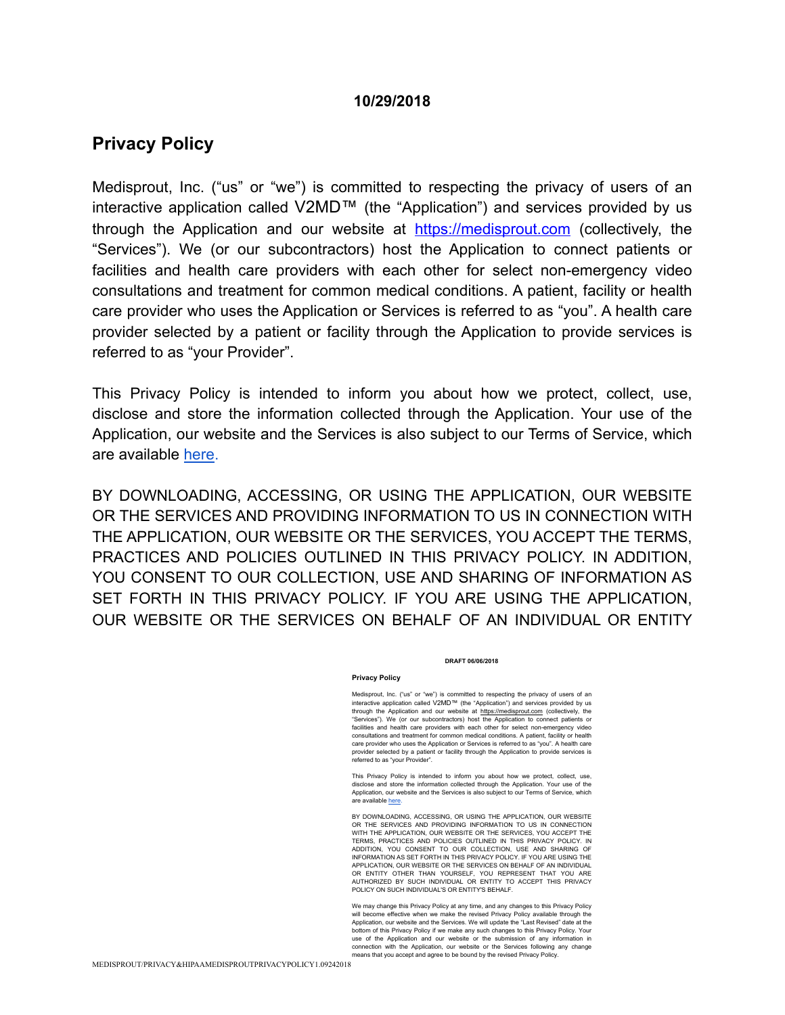#### **10/29/2018**

# **Privacy Policy**

Medisprout, Inc. ("us" or "we") is committed to respecting the privacy of users of an interactive application called V2MD™ (the "Application") and services provided by us through the Application and our website at <https://medisprout.com> (collectively, the "Services"). We (or our subcontractors) host the Application to connect patients or facilities and health care providers with each other for select non-emergency video consultations and treatment for common medical conditions. A patient, facility or health care provider who uses the Application or Services is referred to as "you". A health care provider selected by a patient or facility through the Application to provide services is referred to as "your Provider".

This Privacy Policy is intended to inform you about how we protect, collect, use, disclose and store the information collected through the Application. Your use of the Application, our website and the Services is also subject to our Terms of Service, which are available [here.](https://pager.com/terms.html)

BY DOWNLOADING, ACCESSING, OR USING THE APPLICATION, OUR WEBSITE OR THE SERVICES AND PROVIDING INFORMATION TO US IN CONNECTION WITH THE APPLICATION, OUR WEBSITE OR THE SERVICES, YOU ACCEPT THE TERMS, PRACTICES AND POLICIES OUTLINED IN THIS PRIVACY POLICY. IN ADDITION, YOU CONSENT TO OUR COLLECTION, USE AND SHARING OF INFORMATION AS SET FORTH IN THIS PRIVACY POLICY. IF YOU ARE USING THE APPLICATION, OUR WEBSITE OR THE SERVICES ON BEHALF OF AN INDIVIDUAL OR ENTITY

#### **DRAFT 06/06/2018**

#### **Privacy Policy**

Medisprout, Inc. ("us" or "we") is committed to respecting the privacy of users of an interactive application called V2MD™ (the "Application") and services provided by us through the Application and our website at https://medisprout.com (collectively, the "Services"). We (or our subcontractors) host the Application to connect patients or facilities and health care providers with each other for select non-emergency video consultations and treatment for common medical conditions. A patient, facility or health care provider who uses the Application or Services is referred to as "you". A health care provider selected by a patient or facility through the Application to provide services is referred to as "your Provider".

This Privacy Policy is intended to inform you about how we protect, collect, use, disclose and store the information collected through the Application. Your use of the Application, our website and the Services is also subject to our Terms of Service, which are available here.

BY DOWNLOADING, ACCESSING, OR USING THE APPLICATION, OUR WEBSITE OR THE SERVICES AND PROVIDING INFORMATION TO US IN CONNECTION WITH THE APPLICATION, OUR WEBSITE OR THE SERVICES, YOU ACCEPT THE TERMS, PRACTICES AND POLICIES OUTLINED IN THIS PRIVACY POLICY. IN ADDITION, YOU CONSENT TO OUR COLLECTION, USE AND SHARING OF INFORMATION AS SET FORTH IN THIS PRIVACY POLICY. IF YOU ARE USING THE APPLICATION, OUR WEBSITE OR THE SERVICES ON BEHALF OF AN INDIVIDUAL OR ENTITY OTHER THAN YOURSELF, YOU REPRESENT THAT YOU ARE AUTHORIZED BY SUCH INDIVIDUAL OR ENTITY TO ACCEPT THIS PRIVACY POLICY ON SUCH INDIVIDUAL'S OR ENTITY'S BEHALF.

We may change this Privacy Policy at any time, and any changes to this Privacy Policy will become effective when we make the revised Privacy Policy available through the Application, our website and the Services. We will update the "Last Revised" date at the bottom of this Privacy Policy if we make any such changes to this Privacy Policy. Your use of the Application and our website or the submission of any information in connection with the Application, our website or the Services following any change means that you accept and agree to be bound by the revised Privacy Policy.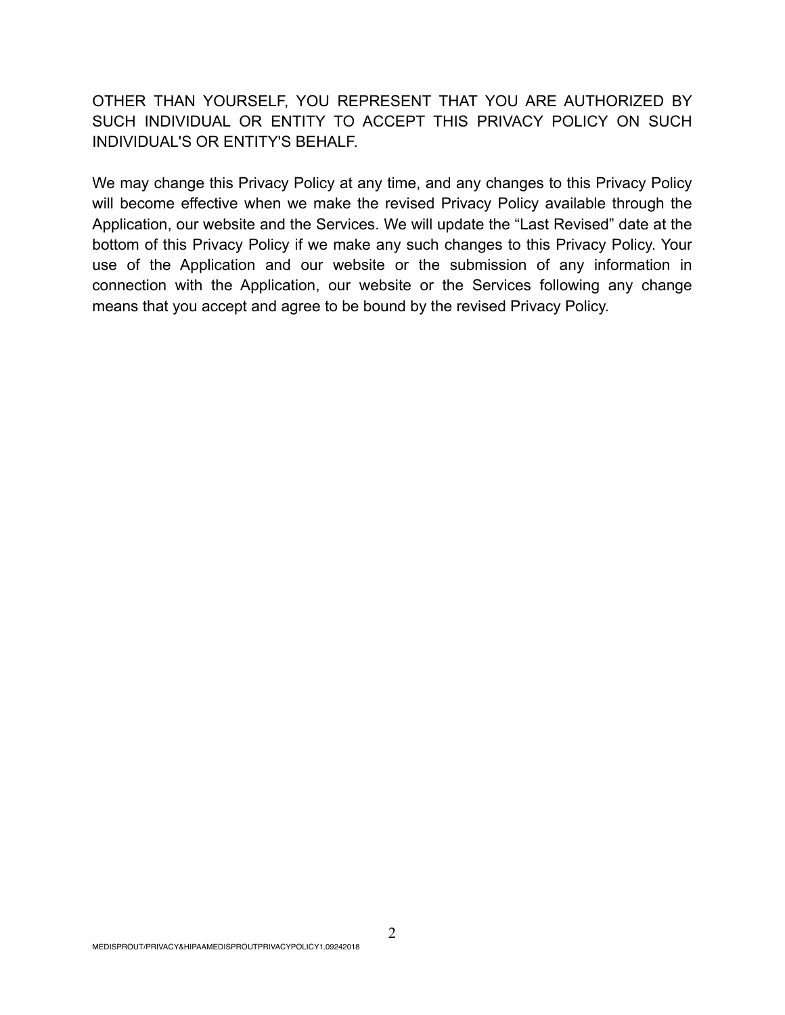OTHER THAN YOURSELF, YOU REPRESENT THAT YOU ARE AUTHORIZED BY SUCH INDIVIDUAL OR ENTITY TO ACCEPT THIS PRIVACY POLICY ON SUCH INDIVIDUAL'S OR ENTITY'S BEHALF.

We may change this Privacy Policy at any time, and any changes to this Privacy Policy will become effective when we make the revised Privacy Policy available through the Application, our website and the Services. We will update the "Last Revised" date at the bottom of this Privacy Policy if we make any such changes to this Privacy Policy. Your use of the Application and our website or the submission of any information in connection with the Application, our website or the Services following any change means that you accept and agree to be bound by the revised Privacy Policy.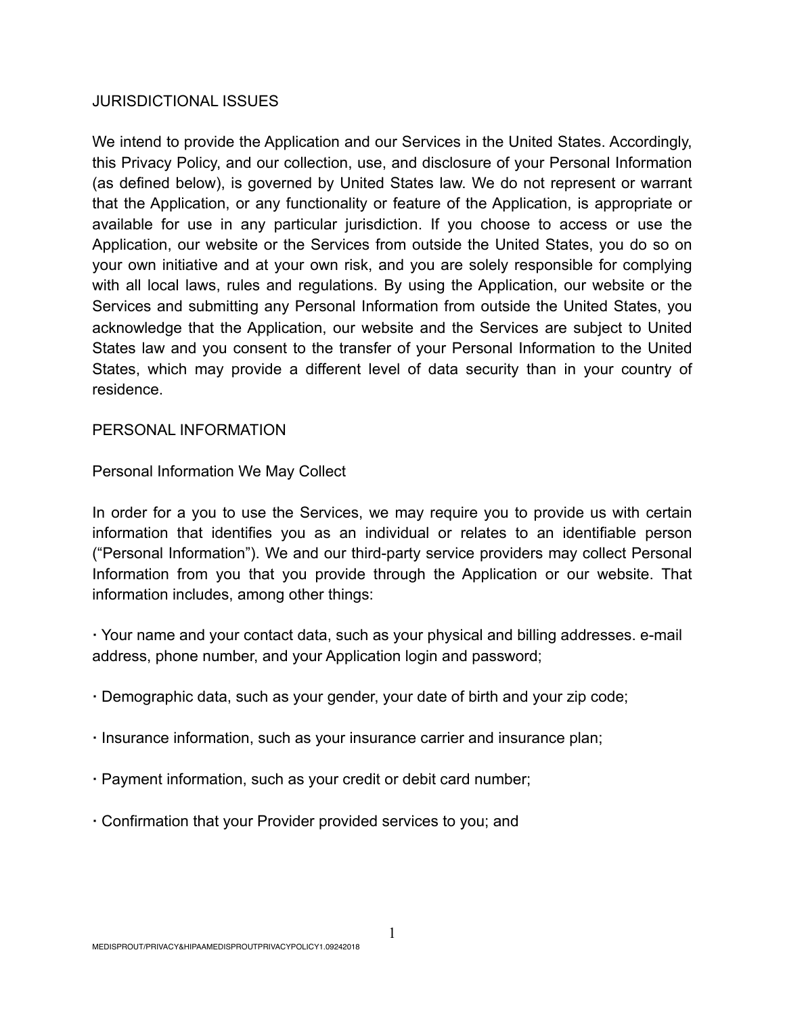## JURISDICTIONAL ISSUES

We intend to provide the Application and our Services in the United States. Accordingly, this Privacy Policy, and our collection, use, and disclosure of your Personal Information (as defined below), is governed by United States law. We do not represent or warrant that the Application, or any functionality or feature of the Application, is appropriate or available for use in any particular jurisdiction. If you choose to access or use the Application, our website or the Services from outside the United States, you do so on your own initiative and at your own risk, and you are solely responsible for complying with all local laws, rules and regulations. By using the Application, our website or the Services and submitting any Personal Information from outside the United States, you acknowledge that the Application, our website and the Services are subject to United States law and you consent to the transfer of your Personal Information to the United States, which may provide a different level of data security than in your country of residence.

## PERSONAL INFORMATION

# Personal Information We May Collect

In order for a you to use the Services, we may require you to provide us with certain information that identifies you as an individual or relates to an identifiable person ("Personal Information"). We and our third-party service providers may collect Personal Information from you that you provide through the Application or our website. That information includes, among other things:

**·** Your name and your contact data, such as your physical and billing addresses. e-mail address, phone number, and your Application login and password;

- **·** Demographic data, such as your gender, your date of birth and your zip code;
- **·** Insurance information, such as your insurance carrier and insurance plan;
- **·** Payment information, such as your credit or debit card number;
- **·** Confirmation that your Provider provided services to you; and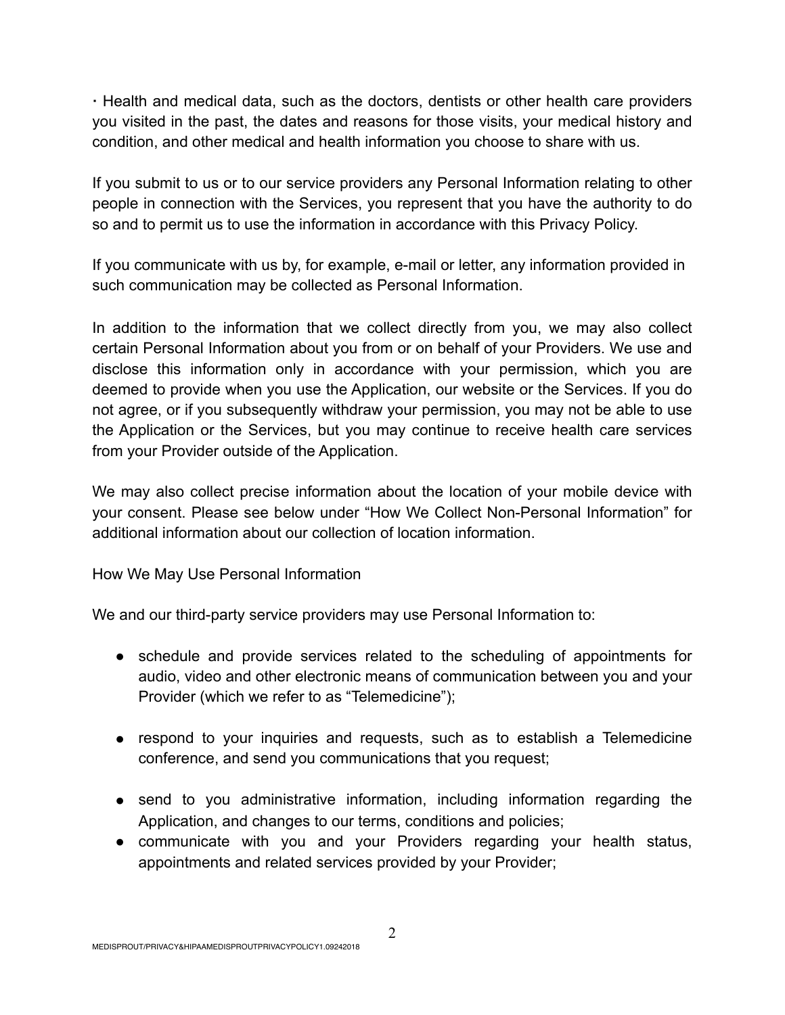**·** Health and medical data, such as the doctors, dentists or other health care providers you visited in the past, the dates and reasons for those visits, your medical history and condition, and other medical and health information you choose to share with us.

If you submit to us or to our service providers any Personal Information relating to other people in connection with the Services, you represent that you have the authority to do so and to permit us to use the information in accordance with this Privacy Policy.

If you communicate with us by, for example, e-mail or letter, any information provided in such communication may be collected as Personal Information.

In addition to the information that we collect directly from you, we may also collect certain Personal Information about you from or on behalf of your Providers. We use and disclose this information only in accordance with your permission, which you are deemed to provide when you use the Application, our website or the Services. If you do not agree, or if you subsequently withdraw your permission, you may not be able to use the Application or the Services, but you may continue to receive health care services from your Provider outside of the Application.

We may also collect precise information about the location of your mobile device with your consent. Please see below under "How We Collect Non-Personal Information" for additional information about our collection of location information.

How We May Use Personal Information

We and our third-party service providers may use Personal Information to:

- schedule and provide services related to the scheduling of appointments for audio, video and other electronic means of communication between you and your Provider (which we refer to as "Telemedicine");
- respond to your inquiries and requests, such as to establish a Telemedicine conference, and send you communications that you request;
- send to you administrative information, including information regarding the Application, and changes to our terms, conditions and policies;
- communicate with you and your Providers regarding your health status, appointments and related services provided by your Provider;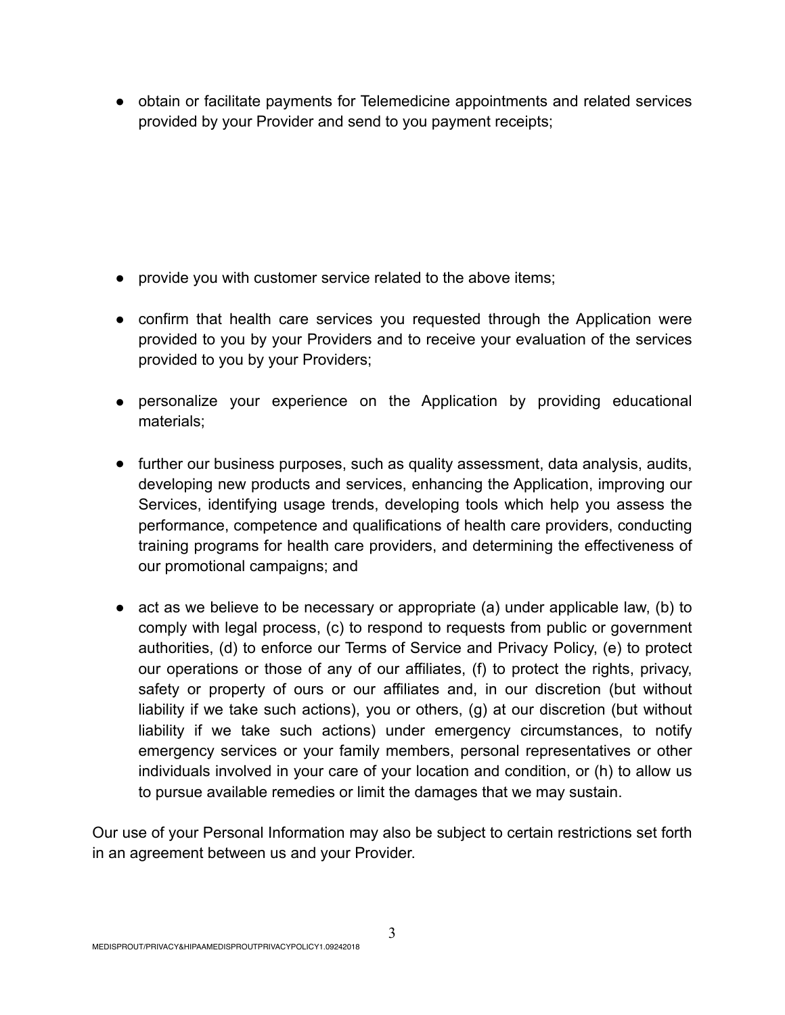● obtain or facilitate payments for Telemedicine appointments and related services provided by your Provider and send to you payment receipts;

- provide you with customer service related to the above items;
- confirm that health care services you requested through the Application were provided to you by your Providers and to receive your evaluation of the services provided to you by your Providers;
- personalize your experience on the Application by providing educational materials;
- further our business purposes, such as quality assessment, data analysis, audits, developing new products and services, enhancing the Application, improving our Services, identifying usage trends, developing tools which help you assess the performance, competence and qualifications of health care providers, conducting training programs for health care providers, and determining the effectiveness of our promotional campaigns; and
- act as we believe to be necessary or appropriate (a) under applicable law, (b) to comply with legal process, (c) to respond to requests from public or government authorities, (d) to enforce our Terms of Service and Privacy Policy, (e) to protect our operations or those of any of our affiliates, (f) to protect the rights, privacy, safety or property of ours or our affiliates and, in our discretion (but without liability if we take such actions), you or others, (g) at our discretion (but without liability if we take such actions) under emergency circumstances, to notify emergency services or your family members, personal representatives or other individuals involved in your care of your location and condition, or (h) to allow us to pursue available remedies or limit the damages that we may sustain.

Our use of your Personal Information may also be subject to certain restrictions set forth in an agreement between us and your Provider.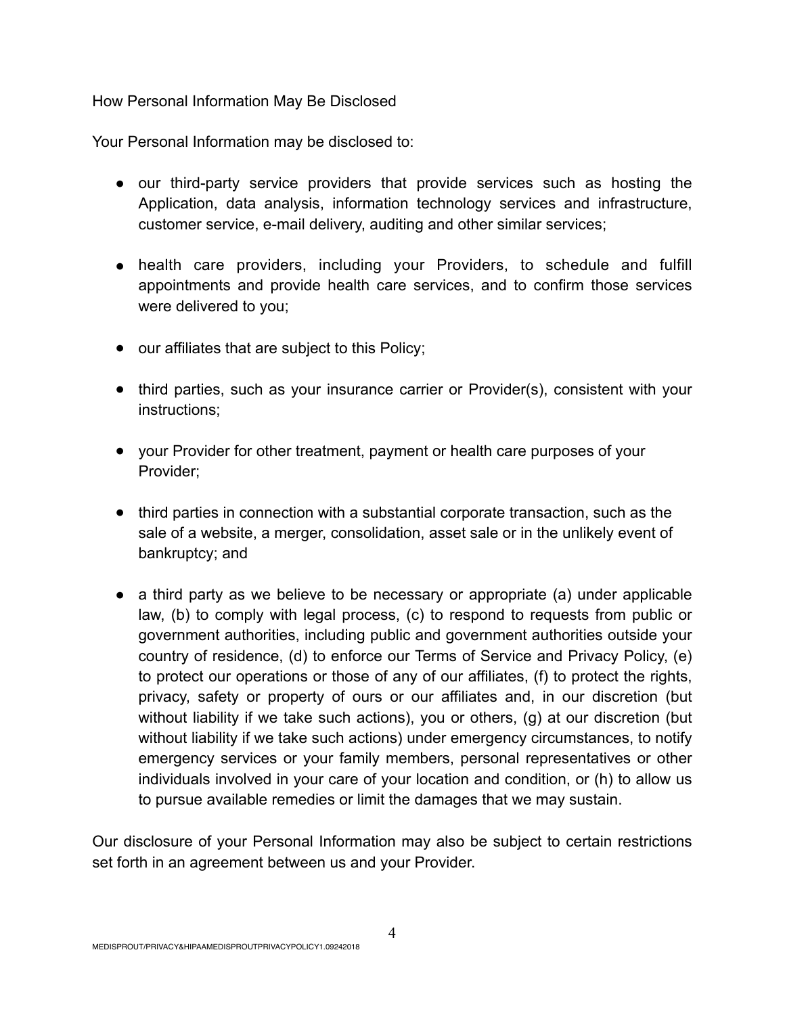How Personal Information May Be Disclosed

Your Personal Information may be disclosed to:

- our third-party service providers that provide services such as hosting the Application, data analysis, information technology services and infrastructure, customer service, e-mail delivery, auditing and other similar services;
- health care providers, including your Providers, to schedule and fulfill appointments and provide health care services, and to confirm those services were delivered to you;
- our affiliates that are subject to this Policy;
- third parties, such as your insurance carrier or Provider(s), consistent with your instructions;
- your Provider for other treatment, payment or health care purposes of your Provider;
- third parties in connection with a substantial corporate transaction, such as the sale of a website, a merger, consolidation, asset sale or in the unlikely event of bankruptcy; and
- a third party as we believe to be necessary or appropriate (a) under applicable law, (b) to comply with legal process, (c) to respond to requests from public or government authorities, including public and government authorities outside your country of residence, (d) to enforce our Terms of Service and Privacy Policy, (e) to protect our operations or those of any of our affiliates, (f) to protect the rights, privacy, safety or property of ours or our affiliates and, in our discretion (but without liability if we take such actions), you or others, (g) at our discretion (but without liability if we take such actions) under emergency circumstances, to notify emergency services or your family members, personal representatives or other individuals involved in your care of your location and condition, or (h) to allow us to pursue available remedies or limit the damages that we may sustain.

Our disclosure of your Personal Information may also be subject to certain restrictions set forth in an agreement between us and your Provider.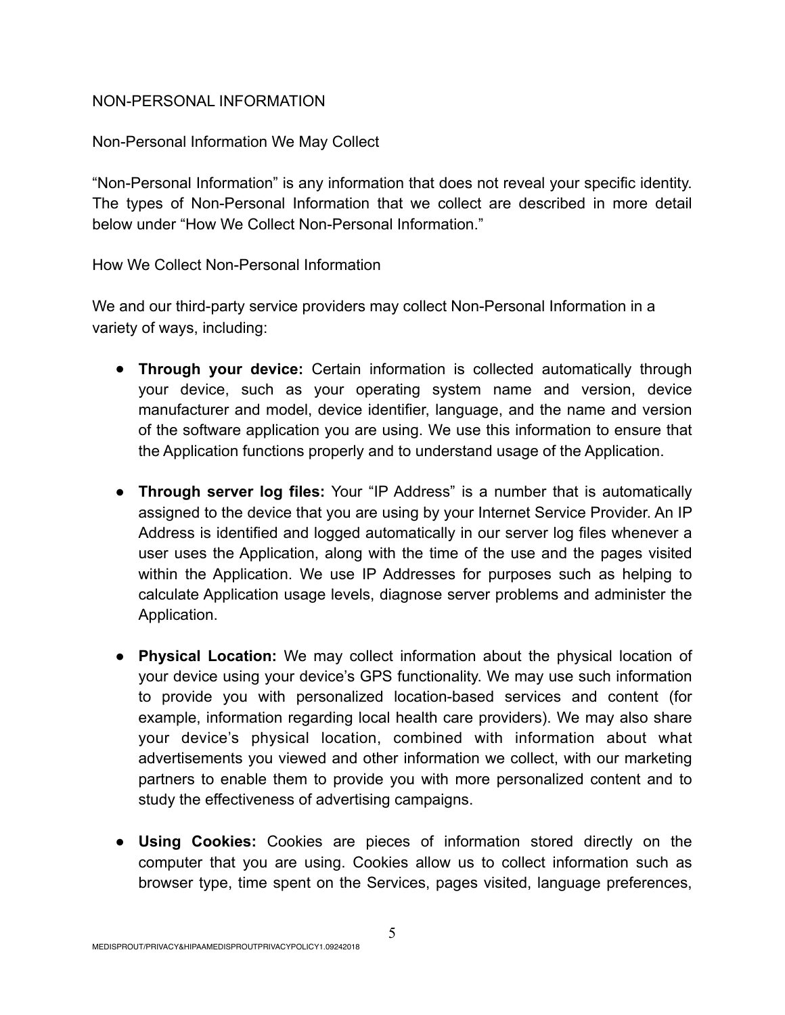## NON-PERSONAL INFORMATION

Non-Personal Information We May Collect

"Non-Personal Information" is any information that does not reveal your specific identity. The types of Non-Personal Information that we collect are described in more detail below under "How We Collect Non-Personal Information."

How We Collect Non-Personal Information

We and our third-party service providers may collect Non-Personal Information in a variety of ways, including:

- **Through your device:** Certain information is collected automatically through your device, such as your operating system name and version, device manufacturer and model, device identifier, language, and the name and version of the software application you are using. We use this information to ensure that the Application functions properly and to understand usage of the Application.
- **Through server log files:** Your "IP Address" is a number that is automatically assigned to the device that you are using by your Internet Service Provider. An IP Address is identified and logged automatically in our server log files whenever a user uses the Application, along with the time of the use and the pages visited within the Application. We use IP Addresses for purposes such as helping to calculate Application usage levels, diagnose server problems and administer the Application.
- **Physical Location:** We may collect information about the physical location of your device using your device's GPS functionality. We may use such information to provide you with personalized location-based services and content (for example, information regarding local health care providers). We may also share your device's physical location, combined with information about what advertisements you viewed and other information we collect, with our marketing partners to enable them to provide you with more personalized content and to study the effectiveness of advertising campaigns.
- **Using Cookies:** Cookies are pieces of information stored directly on the computer that you are using. Cookies allow us to collect information such as browser type, time spent on the Services, pages visited, language preferences,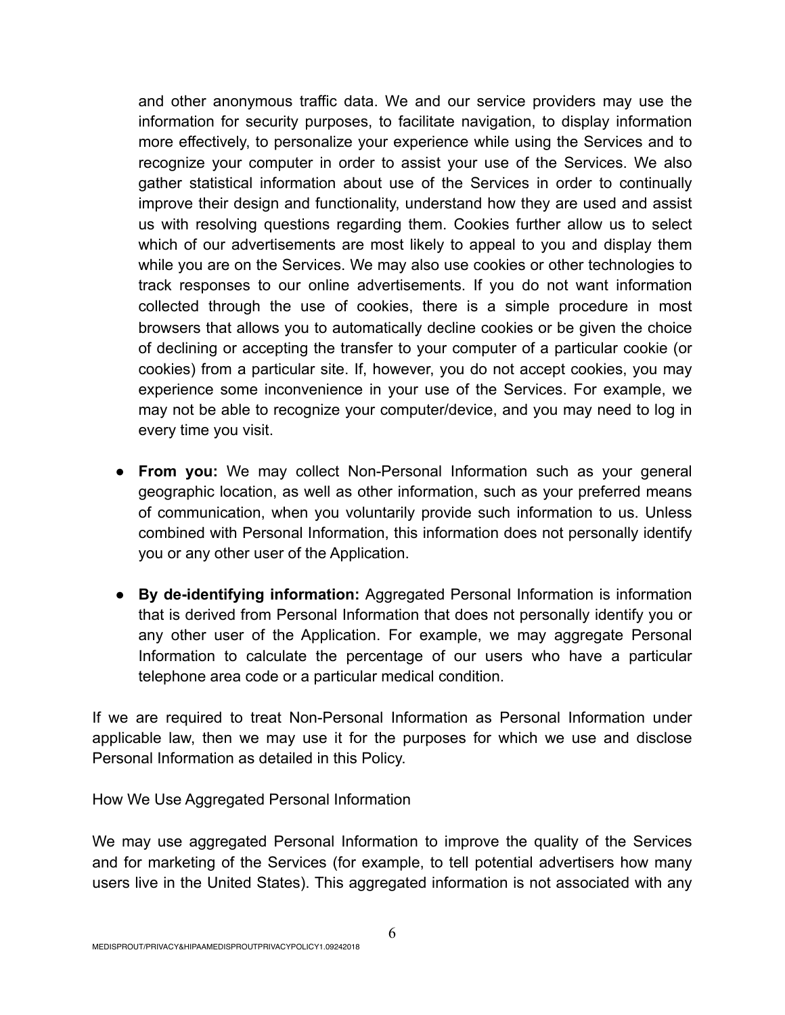and other anonymous traffic data. We and our service providers may use the information for security purposes, to facilitate navigation, to display information more effectively, to personalize your experience while using the Services and to recognize your computer in order to assist your use of the Services. We also gather statistical information about use of the Services in order to continually improve their design and functionality, understand how they are used and assist us with resolving questions regarding them. Cookies further allow us to select which of our advertisements are most likely to appeal to you and display them while you are on the Services. We may also use cookies or other technologies to track responses to our online advertisements. If you do not want information collected through the use of cookies, there is a simple procedure in most browsers that allows you to automatically decline cookies or be given the choice of declining or accepting the transfer to your computer of a particular cookie (or cookies) from a particular site. If, however, you do not accept cookies, you may experience some inconvenience in your use of the Services. For example, we may not be able to recognize your computer/device, and you may need to log in every time you visit.

- **From you:** We may collect Non-Personal Information such as your general geographic location, as well as other information, such as your preferred means of communication, when you voluntarily provide such information to us. Unless combined with Personal Information, this information does not personally identify you or any other user of the Application.
- **By de-identifying information:** Aggregated Personal Information is information that is derived from Personal Information that does not personally identify you or any other user of the Application. For example, we may aggregate Personal Information to calculate the percentage of our users who have a particular telephone area code or a particular medical condition.

If we are required to treat Non-Personal Information as Personal Information under applicable law, then we may use it for the purposes for which we use and disclose Personal Information as detailed in this Policy.

How We Use Aggregated Personal Information

We may use aggregated Personal Information to improve the quality of the Services and for marketing of the Services (for example, to tell potential advertisers how many users live in the United States). This aggregated information is not associated with any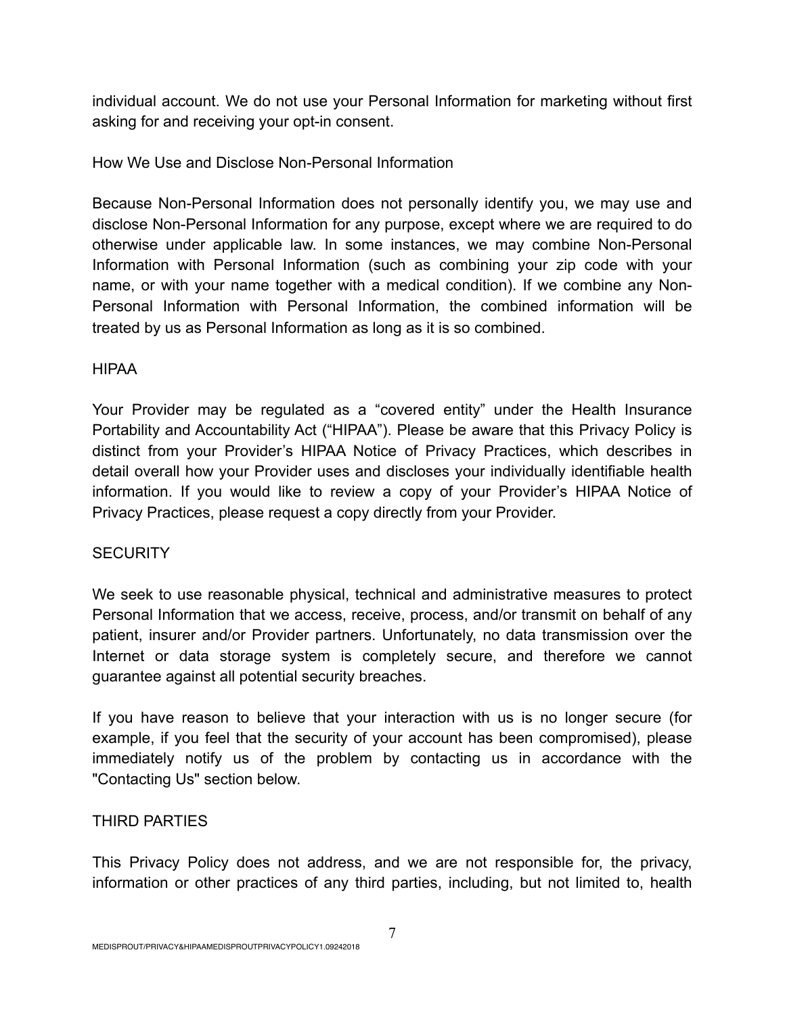individual account. We do not use your Personal Information for marketing without first asking for and receiving your opt-in consent.

# How We Use and Disclose Non-Personal Information

Because Non-Personal Information does not personally identify you, we may use and disclose Non-Personal Information for any purpose, except where we are required to do otherwise under applicable law. In some instances, we may combine Non-Personal Information with Personal Information (such as combining your zip code with your name, or with your name together with a medical condition). If we combine any Non-Personal Information with Personal Information, the combined information will be treated by us as Personal Information as long as it is so combined.

# HIPAA

Your Provider may be regulated as a "covered entity" under the Health Insurance Portability and Accountability Act ("HIPAA"). Please be aware that this Privacy Policy is distinct from your Provider's HIPAA Notice of Privacy Practices, which describes in detail overall how your Provider uses and discloses your individually identifiable health information. If you would like to review a copy of your Provider's HIPAA Notice of Privacy Practices, please request a copy directly from your Provider.

# **SECURITY**

We seek to use reasonable physical, technical and administrative measures to protect Personal Information that we access, receive, process, and/or transmit on behalf of any patient, insurer and/or Provider partners. Unfortunately, no data transmission over the Internet or data storage system is completely secure, and therefore we cannot guarantee against all potential security breaches.

If you have reason to believe that your interaction with us is no longer secure (for example, if you feel that the security of your account has been compromised), please immediately notify us of the problem by contacting us in accordance with the "Contacting Us" section below.

# THIRD PARTIES

This Privacy Policy does not address, and we are not responsible for, the privacy, information or other practices of any third parties, including, but not limited to, health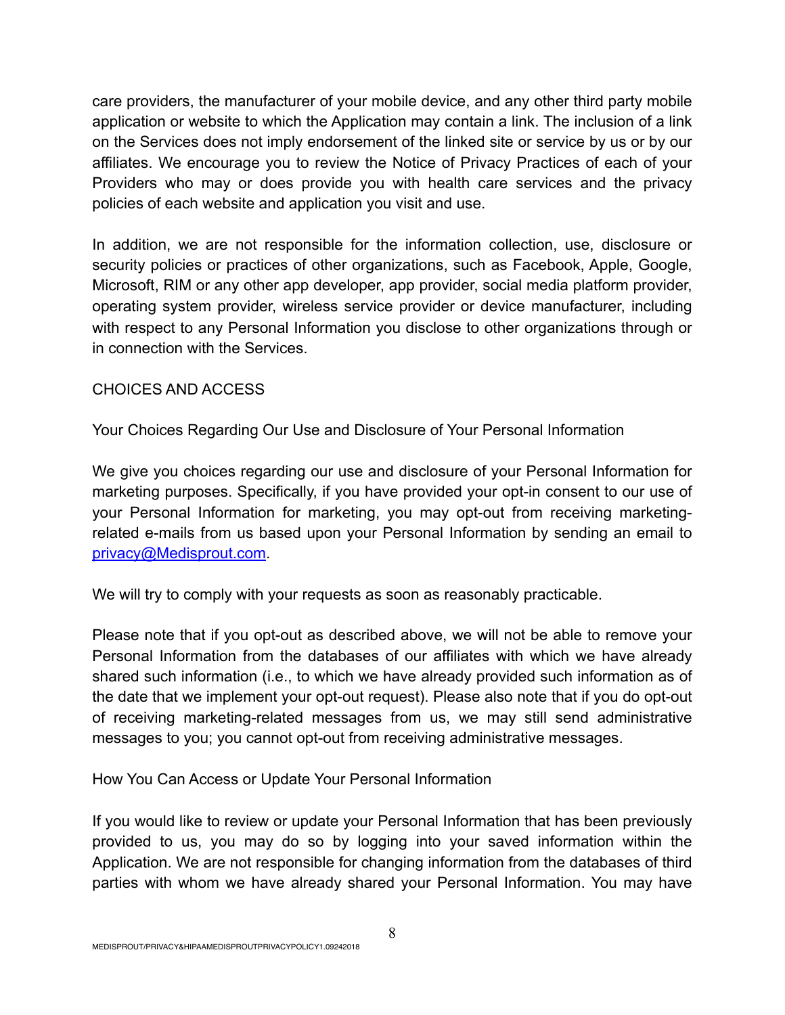care providers, the manufacturer of your mobile device, and any other third party mobile application or website to which the Application may contain a link. The inclusion of a link on the Services does not imply endorsement of the linked site or service by us or by our affiliates. We encourage you to review the Notice of Privacy Practices of each of your Providers who may or does provide you with health care services and the privacy policies of each website and application you visit and use.

In addition, we are not responsible for the information collection, use, disclosure or security policies or practices of other organizations, such as Facebook, Apple, Google, Microsoft, RIM or any other app developer, app provider, social media platform provider, operating system provider, wireless service provider or device manufacturer, including with respect to any Personal Information you disclose to other organizations through or in connection with the Services.

# CHOICES AND ACCESS

Your Choices Regarding Our Use and Disclosure of Your Personal Information

We give you choices regarding our use and disclosure of your Personal Information for marketing purposes. Specifically, if you have provided your opt-in consent to our use of your Personal Information for marketing, you may opt-out from receiving marketingrelated e-mails from us based upon your Personal Information by sending an email to [privacy@Medisprout.com.](mailto:privacy@Medisprout.com)

We will try to comply with your requests as soon as reasonably practicable.

Please note that if you opt-out as described above, we will not be able to remove your Personal Information from the databases of our affiliates with which we have already shared such information (i.e., to which we have already provided such information as of the date that we implement your opt-out request). Please also note that if you do opt-out of receiving marketing-related messages from us, we may still send administrative messages to you; you cannot opt-out from receiving administrative messages.

How You Can Access or Update Your Personal Information

If you would like to review or update your Personal Information that has been previously provided to us, you may do so by logging into your saved information within the Application. We are not responsible for changing information from the databases of third parties with whom we have already shared your Personal Information. You may have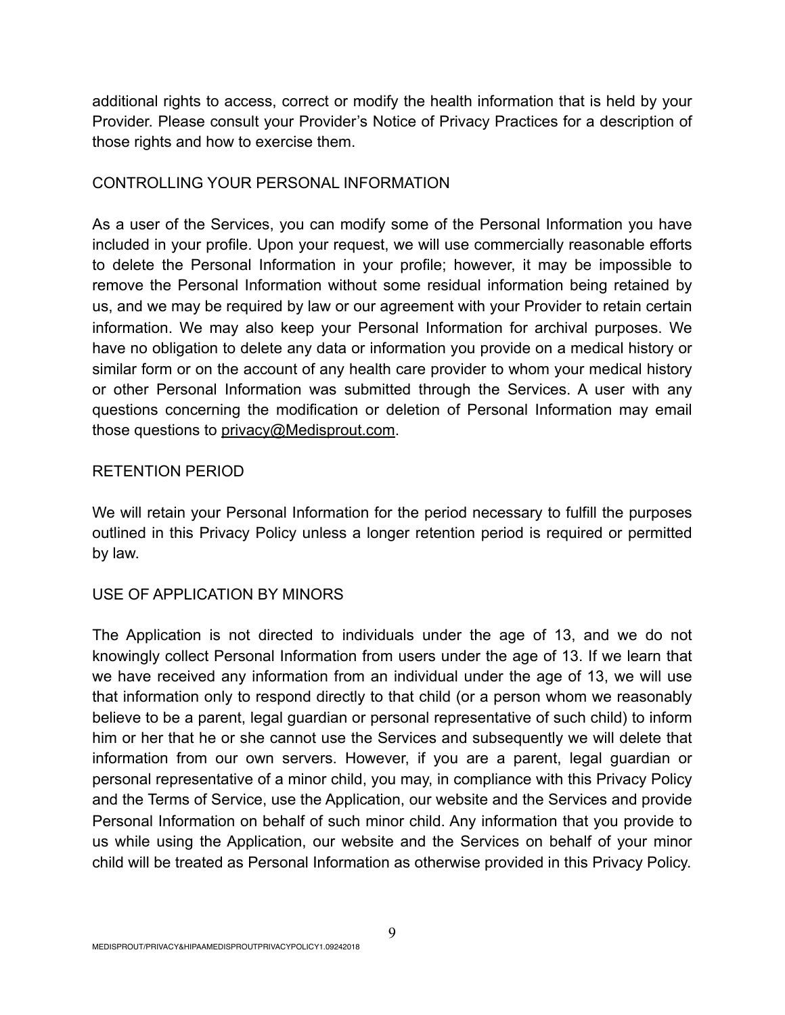additional rights to access, correct or modify the health information that is held by your Provider. Please consult your Provider's Notice of Privacy Practices for a description of those rights and how to exercise them.

# CONTROLLING YOUR PERSONAL INFORMATION

As a user of the Services, you can modify some of the Personal Information you have included in your profile. Upon your request, we will use commercially reasonable efforts to delete the Personal Information in your profile; however, it may be impossible to remove the Personal Information without some residual information being retained by us, and we may be required by law or our agreement with your Provider to retain certain information. We may also keep your Personal Information for archival purposes. We have no obligation to delete any data or information you provide on a medical history or similar form or on the account of any health care provider to whom your medical history or other Personal Information was submitted through the Services. A user with any questions concerning the modification or deletion of Personal Information may email those questions to privacy@Medisprout.com.

# RETENTION PERIOD

We will retain your Personal Information for the period necessary to fulfill the purposes outlined in this Privacy Policy unless a longer retention period is required or permitted by law.

# USE OF APPLICATION BY MINORS

The Application is not directed to individuals under the age of 13, and we do not knowingly collect Personal Information from users under the age of 13. If we learn that we have received any information from an individual under the age of 13, we will use that information only to respond directly to that child (or a person whom we reasonably believe to be a parent, legal guardian or personal representative of such child) to inform him or her that he or she cannot use the Services and subsequently we will delete that information from our own servers. However, if you are a parent, legal guardian or personal representative of a minor child, you may, in compliance with this Privacy Policy and the Terms of Service, use the Application, our website and the Services and provide Personal Information on behalf of such minor child. Any information that you provide to us while using the Application, our website and the Services on behalf of your minor child will be treated as Personal Information as otherwise provided in this Privacy Policy.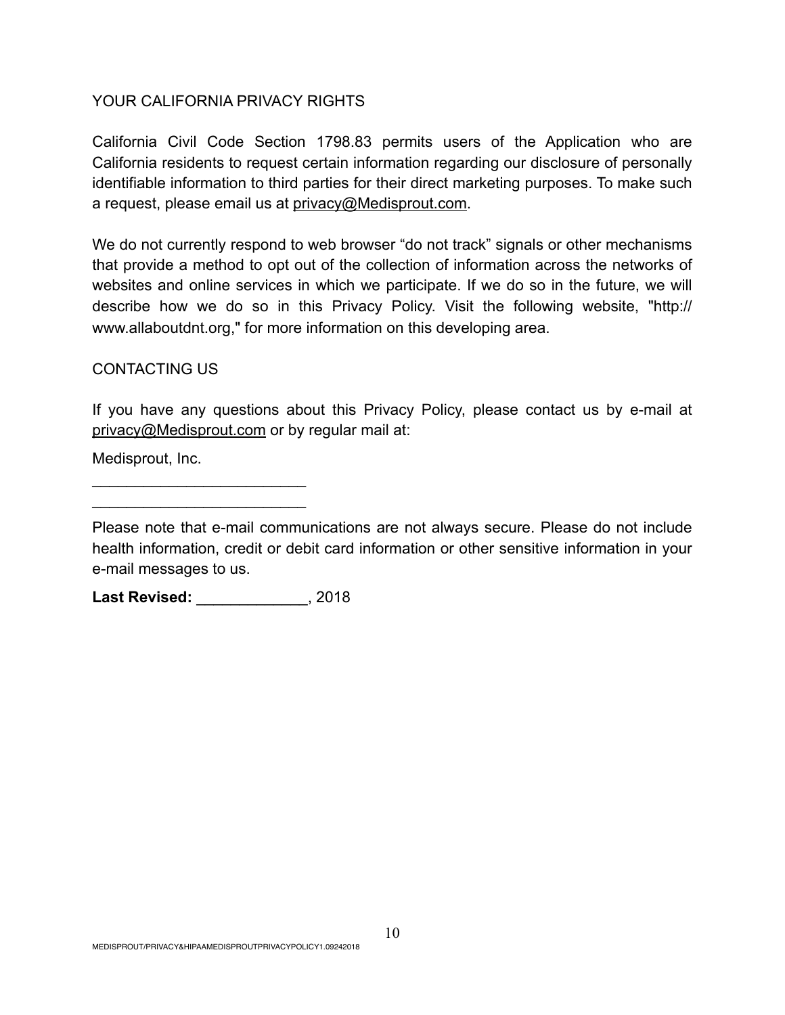## YOUR CALIFORNIA PRIVACY RIGHTS

California Civil Code Section 1798.83 permits users of the Application who are California residents to request certain information regarding our disclosure of personally identifiable information to third parties for their direct marketing purposes. To make such a request, please email us at privacy@Medisprout.com.

We do not currently respond to web browser "do not track" signals or other mechanisms that provide a method to opt out of the collection of information across the networks of websites and online services in which we participate. If we do so in the future, we will describe how we do so in this Privacy Policy. Visit the following website, "http:// www.allaboutdnt.org," for more information on this developing area.

## CONTACTING US

If you have any questions about this Privacy Policy, please contact us by e-mail at privacy@Medisprout.com or by regular mail at:

Medisprout, Inc.

**Last Revised:** \_\_\_\_\_\_\_\_\_\_\_\_\_, 2018

 $\overline{\phantom{a}}$  , where  $\overline{\phantom{a}}$  , where  $\overline{\phantom{a}}$  , where  $\overline{\phantom{a}}$  $\mathcal{L}_\text{max}$  , where  $\mathcal{L}_\text{max}$  is the set of  $\mathcal{L}_\text{max}$ 

Please note that e-mail communications are not always secure. Please do not include health information, credit or debit card information or other sensitive information in your e-mail messages to us.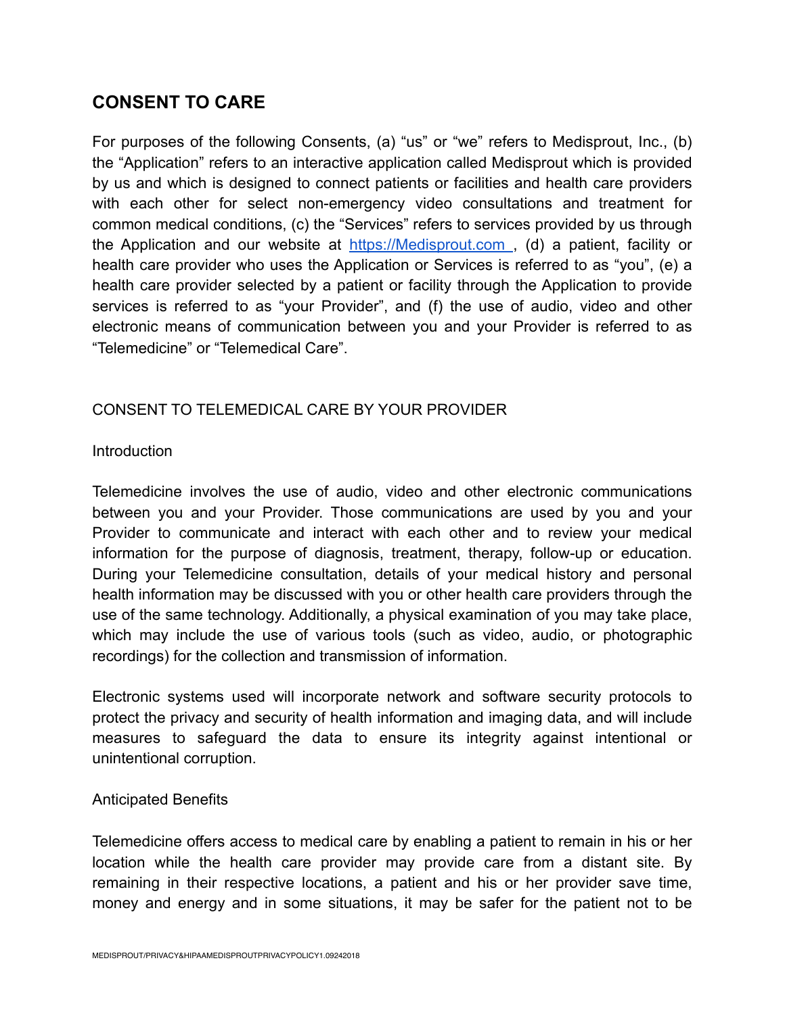# **CONSENT TO CARE**

For purposes of the following Consents, (a) "us" or "we" refers to Medisprout, Inc., (b) the "Application" refers to an interactive application called Medisprout which is provided by us and which is designed to connect patients or facilities and health care providers with each other for select non-emergency video consultations and treatment for common medical conditions, (c) the "Services" refers to services provided by us through the Application and our website at https://Medisprout.com, (d) a patient, facility or health care provider who uses the Application or Services is referred to as "you", (e) a health care provider selected by a patient or facility through the Application to provide services is referred to as "your Provider", and (f) the use of audio, video and other electronic means of communication between you and your Provider is referred to as "Telemedicine" or "Telemedical Care".

# CONSENT TO TELEMEDICAL CARE BY YOUR PROVIDER

## Introduction

Telemedicine involves the use of audio, video and other electronic communications between you and your Provider. Those communications are used by you and your Provider to communicate and interact with each other and to review your medical information for the purpose of diagnosis, treatment, therapy, follow-up or education. During your Telemedicine consultation, details of your medical history and personal health information may be discussed with you or other health care providers through the use of the same technology. Additionally, a physical examination of you may take place, which may include the use of various tools (such as video, audio, or photographic recordings) for the collection and transmission of information.

Electronic systems used will incorporate network and software security protocols to protect the privacy and security of health information and imaging data, and will include measures to safeguard the data to ensure its integrity against intentional or unintentional corruption.

### Anticipated Benefits

Telemedicine offers access to medical care by enabling a patient to remain in his or her location while the health care provider may provide care from a distant site. By remaining in their respective locations, a patient and his or her provider save time, money and energy and in some situations, it may be safer for the patient not to be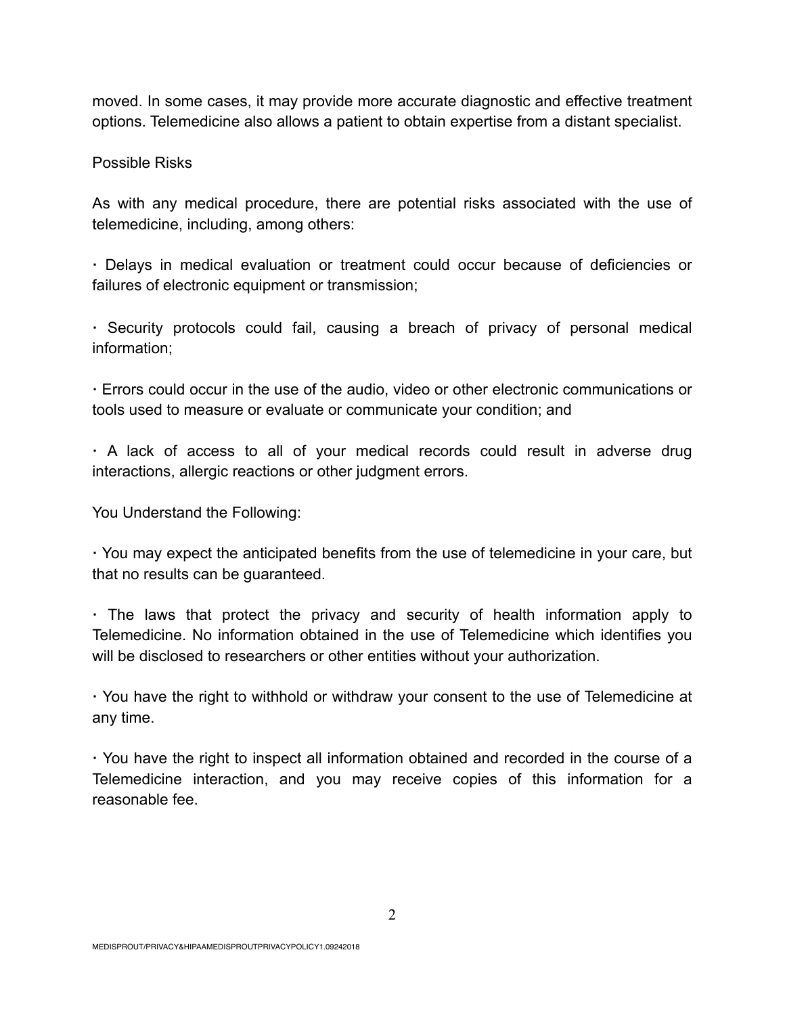moved. In some cases, it may provide more accurate diagnostic and effective treatment options. Telemedicine also allows a patient to obtain expertise from a distant specialist.

## Possible Risks

As with any medical procedure, there are potential risks associated with the use of telemedicine, including, among others:

**·** Delays in medical evaluation or treatment could occur because of deficiencies or failures of electronic equipment or transmission;

**·** Security protocols could fail, causing a breach of privacy of personal medical information;

**·** Errors could occur in the use of the audio, video or other electronic communications or tools used to measure or evaluate or communicate your condition; and

**·** A lack of access to all of your medical records could result in adverse drug interactions, allergic reactions or other judgment errors.

You Understand the Following:

**·** You may expect the anticipated benefits from the use of telemedicine in your care, but that no results can be guaranteed.

**·** The laws that protect the privacy and security of health information apply to Telemedicine. No information obtained in the use of Telemedicine which identifies you will be disclosed to researchers or other entities without your authorization.

**·** You have the right to withhold or withdraw your consent to the use of Telemedicine at any time.

**·** You have the right to inspect all information obtained and recorded in the course of a Telemedicine interaction, and you may receive copies of this information for a reasonable fee.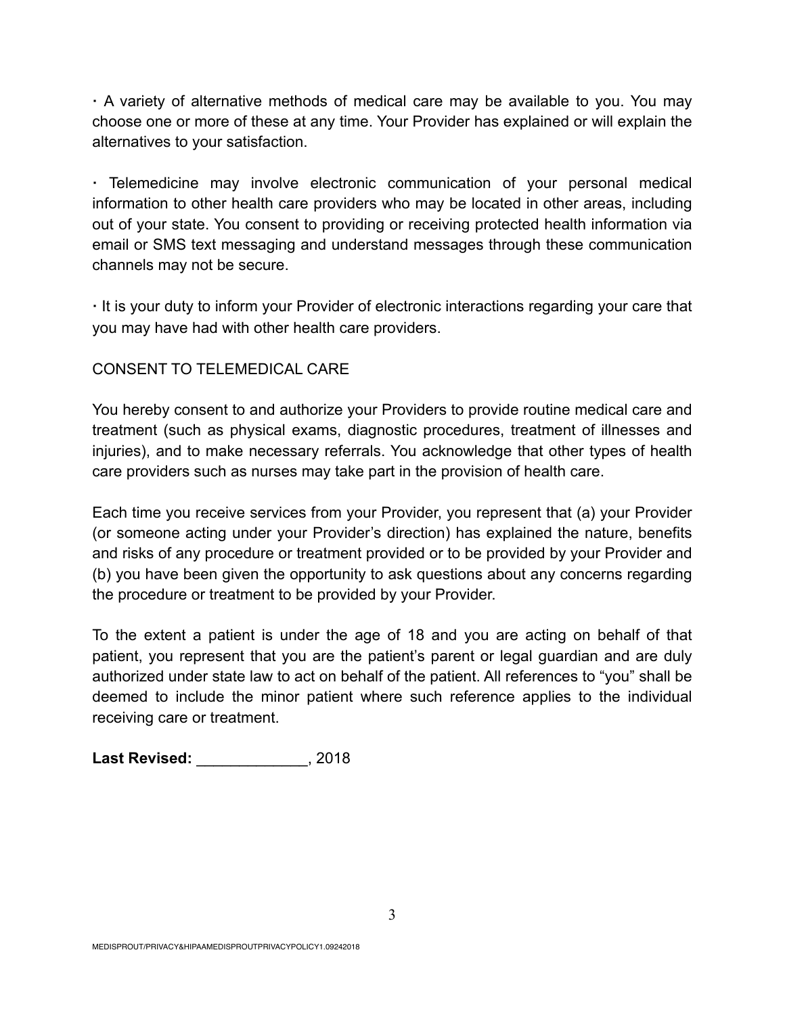**·** A variety of alternative methods of medical care may be available to you. You may choose one or more of these at any time. Your Provider has explained or will explain the alternatives to your satisfaction.

**·** Telemedicine may involve electronic communication of your personal medical information to other health care providers who may be located in other areas, including out of your state. You consent to providing or receiving protected health information via email or SMS text messaging and understand messages through these communication channels may not be secure.

**·** It is your duty to inform your Provider of electronic interactions regarding your care that you may have had with other health care providers.

# CONSENT TO TELEMEDICAL CARE

You hereby consent to and authorize your Providers to provide routine medical care and treatment (such as physical exams, diagnostic procedures, treatment of illnesses and injuries), and to make necessary referrals. You acknowledge that other types of health care providers such as nurses may take part in the provision of health care.

Each time you receive services from your Provider, you represent that (a) your Provider (or someone acting under your Provider's direction) has explained the nature, benefits and risks of any procedure or treatment provided or to be provided by your Provider and (b) you have been given the opportunity to ask questions about any concerns regarding the procedure or treatment to be provided by your Provider.

To the extent a patient is under the age of 18 and you are acting on behalf of that patient, you represent that you are the patient's parent or legal guardian and are duly authorized under state law to act on behalf of the patient. All references to "you" shall be deemed to include the minor patient where such reference applies to the individual receiving care or treatment.

**Last Revised:** \_\_\_\_\_\_\_\_\_\_\_\_\_, 2018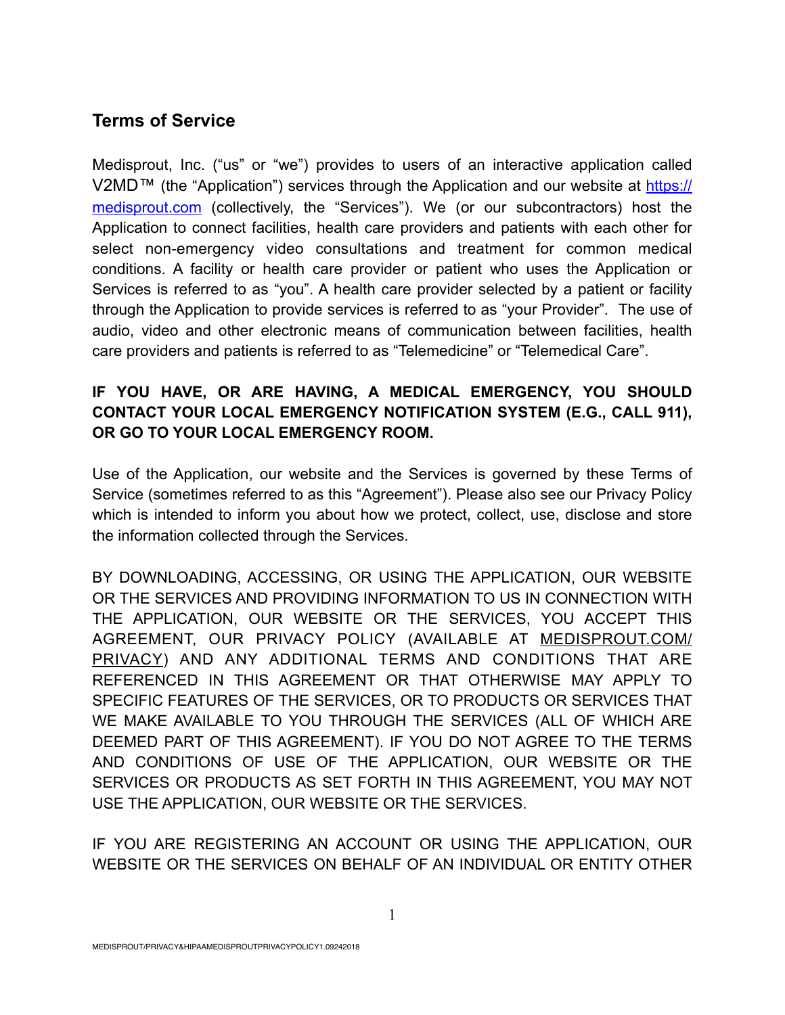# **Terms of Service**

Medisprout, Inc. ("us" or "we") provides to users of an interactive application called [V2MD™ \(the "Application"\) services through the Application and our website at https://](https://medisprout.com) medisprout.com (collectively, the "Services"). We (or our subcontractors) host the Application to connect facilities, health care providers and patients with each other for select non-emergency video consultations and treatment for common medical conditions. A facility or health care provider or patient who uses the Application or Services is referred to as "you". A health care provider selected by a patient or facility through the Application to provide services is referred to as "your Provider". The use of audio, video and other electronic means of communication between facilities, health care providers and patients is referred to as "Telemedicine" or "Telemedical Care".

# **IF YOU HAVE, OR ARE HAVING, A MEDICAL EMERGENCY, YOU SHOULD CONTACT YOUR LOCAL EMERGENCY NOTIFICATION SYSTEM (E.G., CALL 911), OR GO TO YOUR LOCAL EMERGENCY ROOM.**

Use of the Application, our website and the Services is governed by these Terms of Service (sometimes referred to as this "Agreement"). Please also see our Privacy Policy which is intended to inform you about how we protect, collect, use, disclose and store the information collected through the Services.

BY DOWNLOADING, ACCESSING, OR USING THE APPLICATION, OUR WEBSITE OR THE SERVICES AND PROVIDING INFORMATION TO US IN CONNECTION WITH THE APPLICATION, OUR WEBSITE OR THE SERVICES, YOU ACCEPT THIS AGREEMENT, OUR PRIVACY POLICY (AVAILABLE AT MEDISPROUT.COM/ PRIVACY) AND ANY ADDITIONAL TERMS AND CONDITIONS THAT ARE REFERENCED IN THIS AGREEMENT OR THAT OTHERWISE MAY APPLY TO SPECIFIC FEATURES OF THE SERVICES, OR TO PRODUCTS OR SERVICES THAT WE MAKE AVAILABLE TO YOU THROUGH THE SERVICES (ALL OF WHICH ARE DEEMED PART OF THIS AGREEMENT). IF YOU DO NOT AGREE TO THE TERMS AND CONDITIONS OF USE OF THE APPLICATION, OUR WEBSITE OR THE SERVICES OR PRODUCTS AS SET FORTH IN THIS AGREEMENT, YOU MAY NOT USE THE APPLICATION, OUR WEBSITE OR THE SERVICES.

IF YOU ARE REGISTERING AN ACCOUNT OR USING THE APPLICATION, OUR WEBSITE OR THE SERVICES ON BEHALF OF AN INDIVIDUAL OR ENTITY OTHER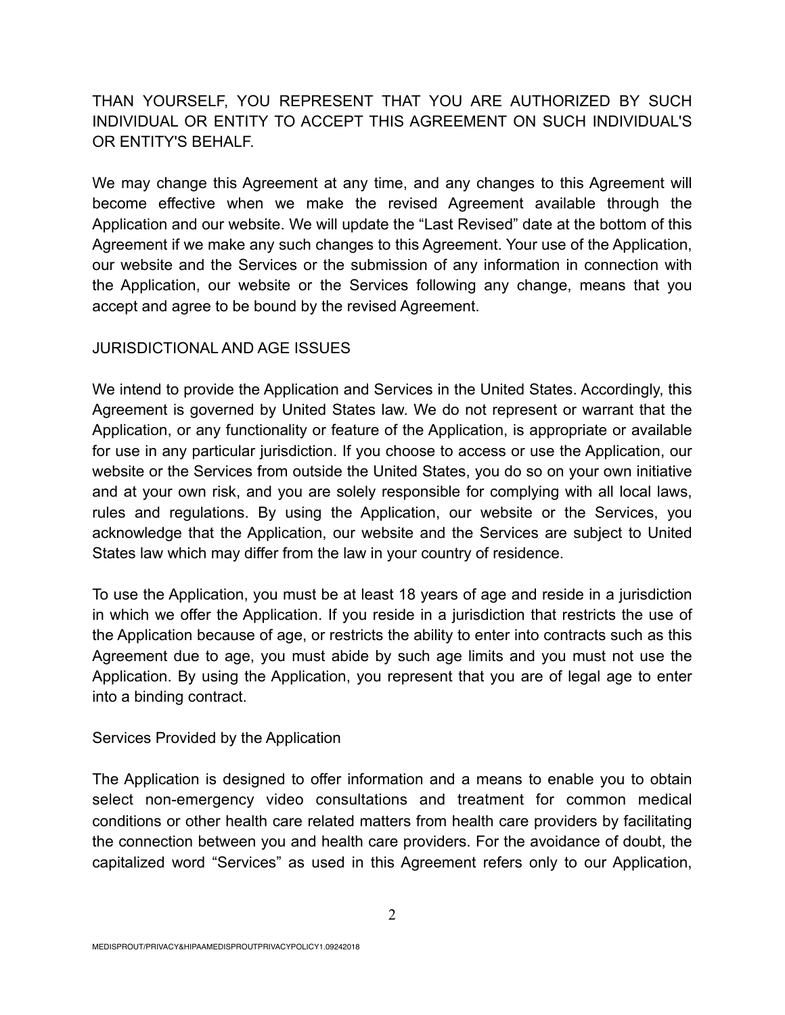# THAN YOURSELF, YOU REPRESENT THAT YOU ARE AUTHORIZED BY SUCH INDIVIDUAL OR ENTITY TO ACCEPT THIS AGREEMENT ON SUCH INDIVIDUAL'S OR ENTITY'S BEHALF.

We may change this Agreement at any time, and any changes to this Agreement will become effective when we make the revised Agreement available through the Application and our website. We will update the "Last Revised" date at the bottom of this Agreement if we make any such changes to this Agreement. Your use of the Application, our website and the Services or the submission of any information in connection with the Application, our website or the Services following any change, means that you accept and agree to be bound by the revised Agreement.

# JURISDICTIONAL AND AGE ISSUES

We intend to provide the Application and Services in the United States. Accordingly, this Agreement is governed by United States law. We do not represent or warrant that the Application, or any functionality or feature of the Application, is appropriate or available for use in any particular jurisdiction. If you choose to access or use the Application, our website or the Services from outside the United States, you do so on your own initiative and at your own risk, and you are solely responsible for complying with all local laws, rules and regulations. By using the Application, our website or the Services, you acknowledge that the Application, our website and the Services are subject to United States law which may differ from the law in your country of residence.

To use the Application, you must be at least 18 years of age and reside in a jurisdiction in which we offer the Application. If you reside in a jurisdiction that restricts the use of the Application because of age, or restricts the ability to enter into contracts such as this Agreement due to age, you must abide by such age limits and you must not use the Application. By using the Application, you represent that you are of legal age to enter into a binding contract.

### Services Provided by the Application

The Application is designed to offer information and a means to enable you to obtain select non-emergency video consultations and treatment for common medical conditions or other health care related matters from health care providers by facilitating the connection between you and health care providers. For the avoidance of doubt, the capitalized word "Services" as used in this Agreement refers only to our Application,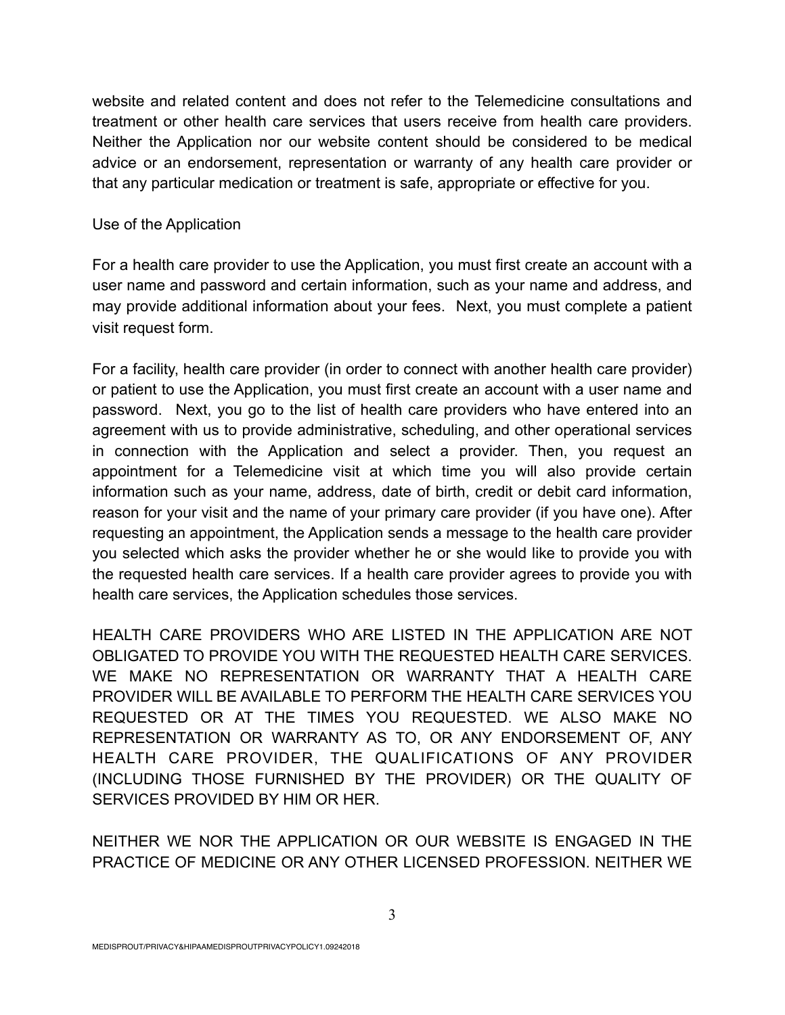website and related content and does not refer to the Telemedicine consultations and treatment or other health care services that users receive from health care providers. Neither the Application nor our website content should be considered to be medical advice or an endorsement, representation or warranty of any health care provider or that any particular medication or treatment is safe, appropriate or effective for you.

## Use of the Application

For a health care provider to use the Application, you must first create an account with a user name and password and certain information, such as your name and address, and may provide additional information about your fees. Next, you must complete a patient visit request form.

For a facility, health care provider (in order to connect with another health care provider) or patient to use the Application, you must first create an account with a user name and password. Next, you go to the list of health care providers who have entered into an agreement with us to provide administrative, scheduling, and other operational services in connection with the Application and select a provider. Then, you request an appointment for a Telemedicine visit at which time you will also provide certain information such as your name, address, date of birth, credit or debit card information, reason for your visit and the name of your primary care provider (if you have one). After requesting an appointment, the Application sends a message to the health care provider you selected which asks the provider whether he or she would like to provide you with the requested health care services. If a health care provider agrees to provide you with health care services, the Application schedules those services.

HEALTH CARE PROVIDERS WHO ARE LISTED IN THE APPLICATION ARE NOT OBLIGATED TO PROVIDE YOU WITH THE REQUESTED HEALTH CARE SERVICES. WE MAKE NO REPRESENTATION OR WARRANTY THAT A HEALTH CARE PROVIDER WILL BE AVAILABLE TO PERFORM THE HEALTH CARE SERVICES YOU REQUESTED OR AT THE TIMES YOU REQUESTED. WE ALSO MAKE NO REPRESENTATION OR WARRANTY AS TO, OR ANY ENDORSEMENT OF, ANY HEALTH CARE PROVIDER, THE QUALIFICATIONS OF ANY PROVIDER (INCLUDING THOSE FURNISHED BY THE PROVIDER) OR THE QUALITY OF SERVICES PROVIDED BY HIM OR HER.

NEITHER WE NOR THE APPLICATION OR OUR WEBSITE IS ENGAGED IN THE PRACTICE OF MEDICINE OR ANY OTHER LICENSED PROFESSION. NEITHER WE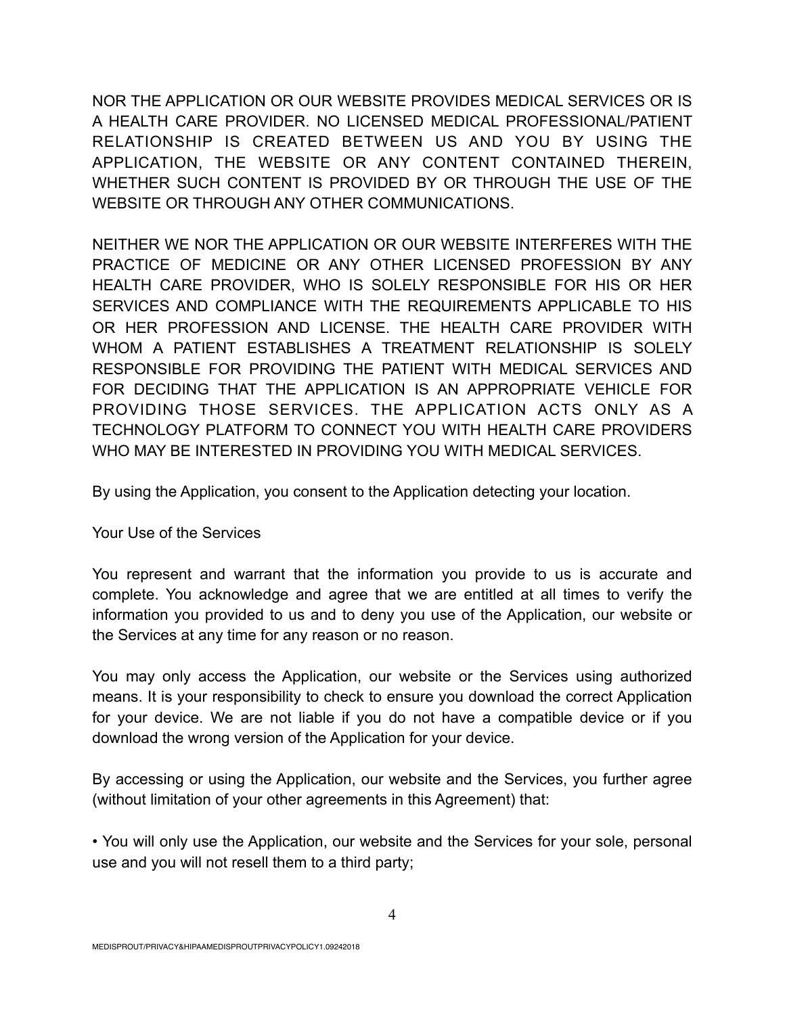NOR THE APPLICATION OR OUR WEBSITE PROVIDES MEDICAL SERVICES OR IS A HEALTH CARE PROVIDER. NO LICENSED MEDICAL PROFESSIONAL/PATIENT RELATIONSHIP IS CREATED BETWEEN US AND YOU BY USING THE APPLICATION, THE WEBSITE OR ANY CONTENT CONTAINED THEREIN, WHETHER SUCH CONTENT IS PROVIDED BY OR THROUGH THE USE OF THE WEBSITE OR THROUGH ANY OTHER COMMUNICATIONS.

NEITHER WE NOR THE APPLICATION OR OUR WEBSITE INTERFERES WITH THE PRACTICE OF MEDICINE OR ANY OTHER LICENSED PROFESSION BY ANY HEALTH CARE PROVIDER, WHO IS SOLELY RESPONSIBLE FOR HIS OR HER SERVICES AND COMPLIANCE WITH THE REQUIREMENTS APPLICABLE TO HIS OR HER PROFESSION AND LICENSE. THE HEALTH CARE PROVIDER WITH WHOM A PATIENT ESTABLISHES A TREATMENT RELATIONSHIP IS SOLELY RESPONSIBLE FOR PROVIDING THE PATIENT WITH MEDICAL SERVICES AND FOR DECIDING THAT THE APPLICATION IS AN APPROPRIATE VEHICLE FOR PROVIDING THOSE SERVICES. THE APPLICATION ACTS ONLY AS A TECHNOLOGY PLATFORM TO CONNECT YOU WITH HEALTH CARE PROVIDERS WHO MAY BE INTERESTED IN PROVIDING YOU WITH MEDICAL SERVICES.

By using the Application, you consent to the Application detecting your location.

Your Use of the Services

You represent and warrant that the information you provide to us is accurate and complete. You acknowledge and agree that we are entitled at all times to verify the information you provided to us and to deny you use of the Application, our website or the Services at any time for any reason or no reason.

You may only access the Application, our website or the Services using authorized means. It is your responsibility to check to ensure you download the correct Application for your device. We are not liable if you do not have a compatible device or if you download the wrong version of the Application for your device.

By accessing or using the Application, our website and the Services, you further agree (without limitation of your other agreements in this Agreement) that:

• You will only use the Application, our website and the Services for your sole, personal use and you will not resell them to a third party;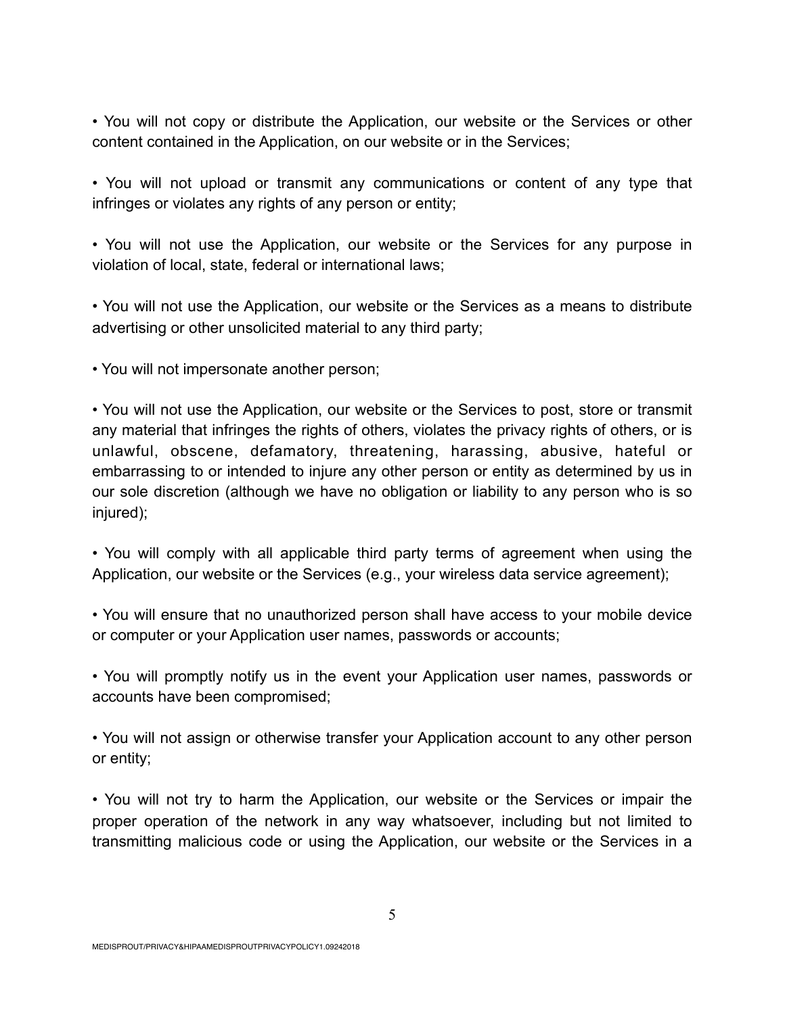• You will not copy or distribute the Application, our website or the Services or other content contained in the Application, on our website or in the Services;

• You will not upload or transmit any communications or content of any type that infringes or violates any rights of any person or entity;

• You will not use the Application, our website or the Services for any purpose in violation of local, state, federal or international laws;

• You will not use the Application, our website or the Services as a means to distribute advertising or other unsolicited material to any third party;

• You will not impersonate another person;

• You will not use the Application, our website or the Services to post, store or transmit any material that infringes the rights of others, violates the privacy rights of others, or is unlawful, obscene, defamatory, threatening, harassing, abusive, hateful or embarrassing to or intended to injure any other person or entity as determined by us in our sole discretion (although we have no obligation or liability to any person who is so injured);

• You will comply with all applicable third party terms of agreement when using the Application, our website or the Services (e.g., your wireless data service agreement);

• You will ensure that no unauthorized person shall have access to your mobile device or computer or your Application user names, passwords or accounts;

• You will promptly notify us in the event your Application user names, passwords or accounts have been compromised;

• You will not assign or otherwise transfer your Application account to any other person or entity;

• You will not try to harm the Application, our website or the Services or impair the proper operation of the network in any way whatsoever, including but not limited to transmitting malicious code or using the Application, our website or the Services in a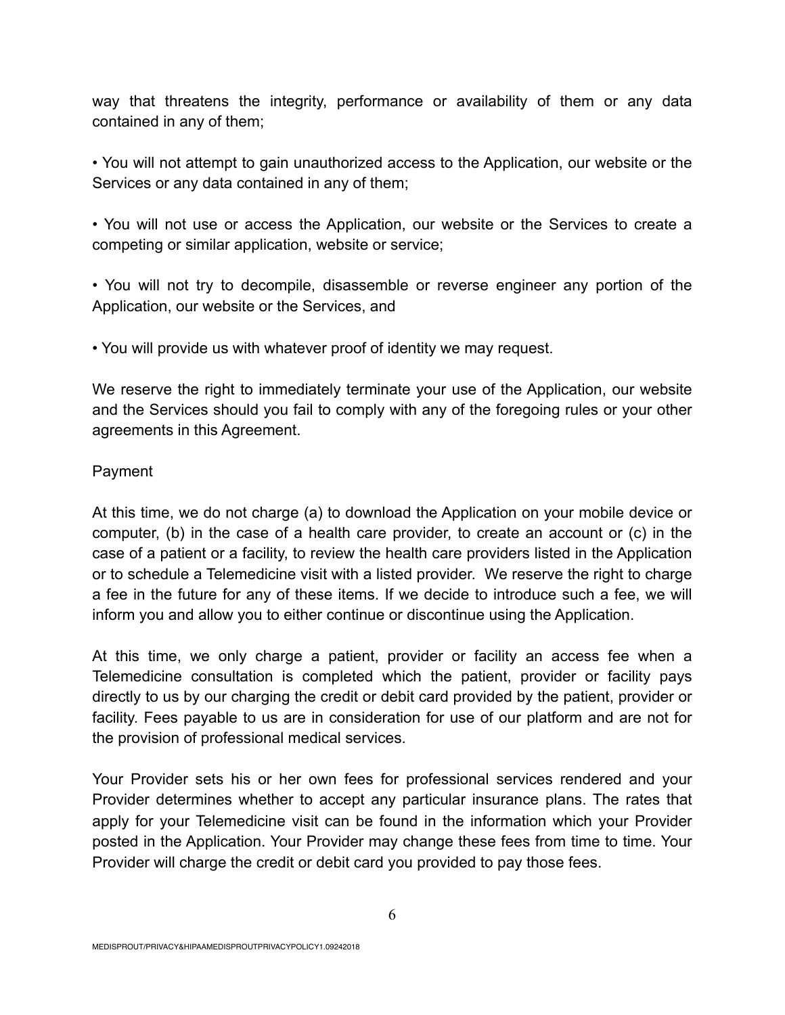way that threatens the integrity, performance or availability of them or any data contained in any of them;

• You will not attempt to gain unauthorized access to the Application, our website or the Services or any data contained in any of them;

• You will not use or access the Application, our website or the Services to create a competing or similar application, website or service;

• You will not try to decompile, disassemble or reverse engineer any portion of the Application, our website or the Services, and

• You will provide us with whatever proof of identity we may request.

We reserve the right to immediately terminate your use of the Application, our website and the Services should you fail to comply with any of the foregoing rules or your other agreements in this Agreement.

# Payment

At this time, we do not charge (a) to download the Application on your mobile device or computer, (b) in the case of a health care provider, to create an account or (c) in the case of a patient or a facility, to review the health care providers listed in the Application or to schedule a Telemedicine visit with a listed provider. We reserve the right to charge a fee in the future for any of these items. If we decide to introduce such a fee, we will inform you and allow you to either continue or discontinue using the Application.

At this time, we only charge a patient, provider or facility an access fee when a Telemedicine consultation is completed which the patient, provider or facility pays directly to us by our charging the credit or debit card provided by the patient, provider or facility. Fees payable to us are in consideration for use of our platform and are not for the provision of professional medical services.

Your Provider sets his or her own fees for professional services rendered and your Provider determines whether to accept any particular insurance plans. The rates that apply for your Telemedicine visit can be found in the information which your Provider posted in the Application. Your Provider may change these fees from time to time. Your Provider will charge the credit or debit card you provided to pay those fees.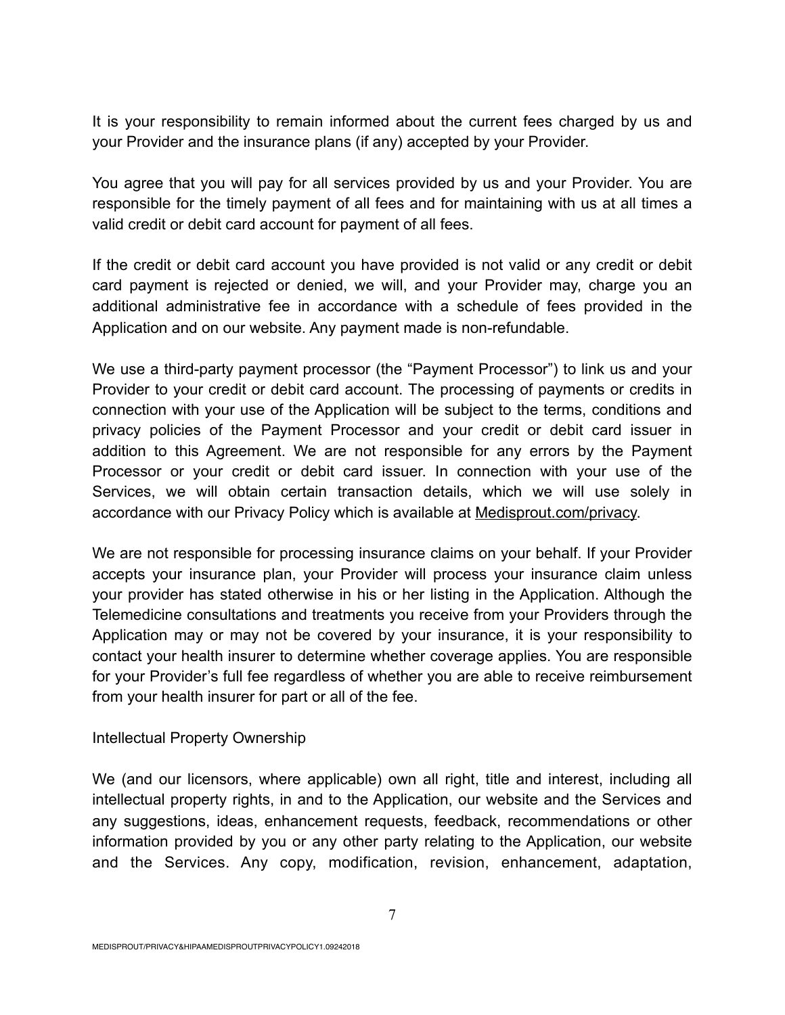It is your responsibility to remain informed about the current fees charged by us and your Provider and the insurance plans (if any) accepted by your Provider.

You agree that you will pay for all services provided by us and your Provider. You are responsible for the timely payment of all fees and for maintaining with us at all times a valid credit or debit card account for payment of all fees.

If the credit or debit card account you have provided is not valid or any credit or debit card payment is rejected or denied, we will, and your Provider may, charge you an additional administrative fee in accordance with a schedule of fees provided in the Application and on our website. Any payment made is non-refundable.

We use a third-party payment processor (the "Payment Processor") to link us and your Provider to your credit or debit card account. The processing of payments or credits in connection with your use of the Application will be subject to the terms, conditions and privacy policies of the Payment Processor and your credit or debit card issuer in addition to this Agreement. We are not responsible for any errors by the Payment Processor or your credit or debit card issuer. In connection with your use of the Services, we will obtain certain transaction details, which we will use solely in accordance with our Privacy Policy which is available at Medisprout.com/privacy.

We are not responsible for processing insurance claims on your behalf. If your Provider accepts your insurance plan, your Provider will process your insurance claim unless your provider has stated otherwise in his or her listing in the Application. Although the Telemedicine consultations and treatments you receive from your Providers through the Application may or may not be covered by your insurance, it is your responsibility to contact your health insurer to determine whether coverage applies. You are responsible for your Provider's full fee regardless of whether you are able to receive reimbursement from your health insurer for part or all of the fee.

### Intellectual Property Ownership

We (and our licensors, where applicable) own all right, title and interest, including all intellectual property rights, in and to the Application, our website and the Services and any suggestions, ideas, enhancement requests, feedback, recommendations or other information provided by you or any other party relating to the Application, our website and the Services. Any copy, modification, revision, enhancement, adaptation,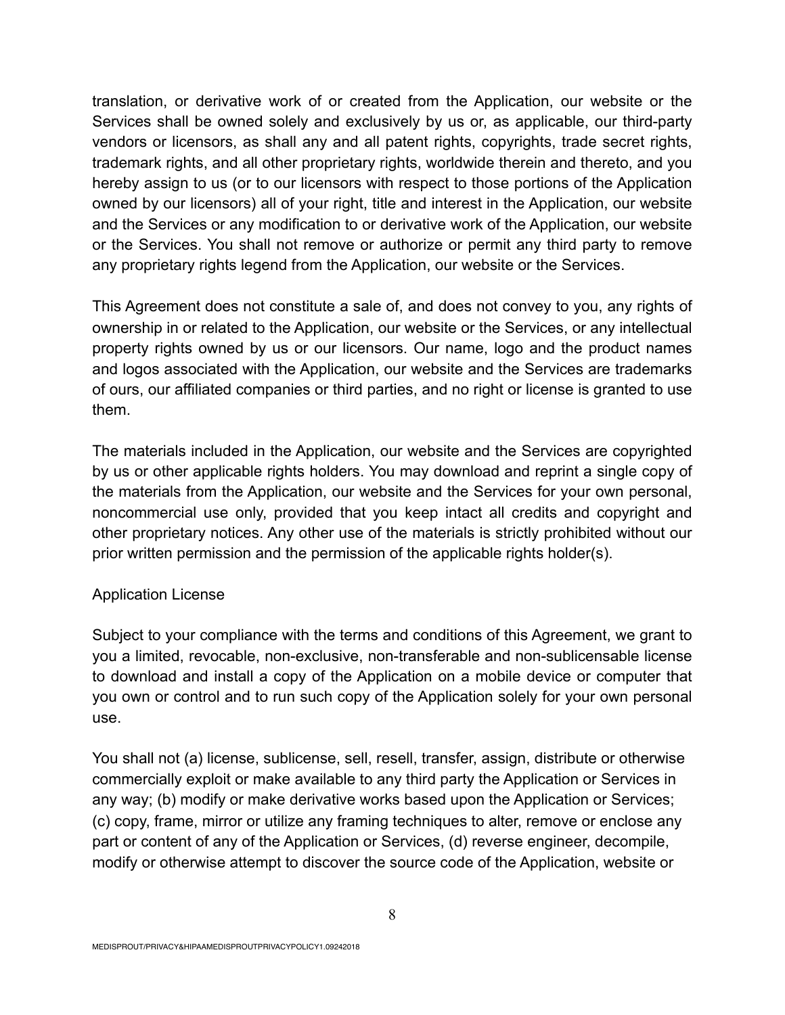translation, or derivative work of or created from the Application, our website or the Services shall be owned solely and exclusively by us or, as applicable, our third-party vendors or licensors, as shall any and all patent rights, copyrights, trade secret rights, trademark rights, and all other proprietary rights, worldwide therein and thereto, and you hereby assign to us (or to our licensors with respect to those portions of the Application owned by our licensors) all of your right, title and interest in the Application, our website and the Services or any modification to or derivative work of the Application, our website or the Services. You shall not remove or authorize or permit any third party to remove any proprietary rights legend from the Application, our website or the Services.

This Agreement does not constitute a sale of, and does not convey to you, any rights of ownership in or related to the Application, our website or the Services, or any intellectual property rights owned by us or our licensors. Our name, logo and the product names and logos associated with the Application, our website and the Services are trademarks of ours, our affiliated companies or third parties, and no right or license is granted to use them.

The materials included in the Application, our website and the Services are copyrighted by us or other applicable rights holders. You may download and reprint a single copy of the materials from the Application, our website and the Services for your own personal, noncommercial use only, provided that you keep intact all credits and copyright and other proprietary notices. Any other use of the materials is strictly prohibited without our prior written permission and the permission of the applicable rights holder(s).

# Application License

Subject to your compliance with the terms and conditions of this Agreement, we grant to you a limited, revocable, non-exclusive, non-transferable and non-sublicensable license to download and install a copy of the Application on a mobile device or computer that you own or control and to run such copy of the Application solely for your own personal use.

You shall not (a) license, sublicense, sell, resell, transfer, assign, distribute or otherwise commercially exploit or make available to any third party the Application or Services in any way; (b) modify or make derivative works based upon the Application or Services; (c) copy, frame, mirror or utilize any framing techniques to alter, remove or enclose any part or content of any of the Application or Services, (d) reverse engineer, decompile, modify or otherwise attempt to discover the source code of the Application, website or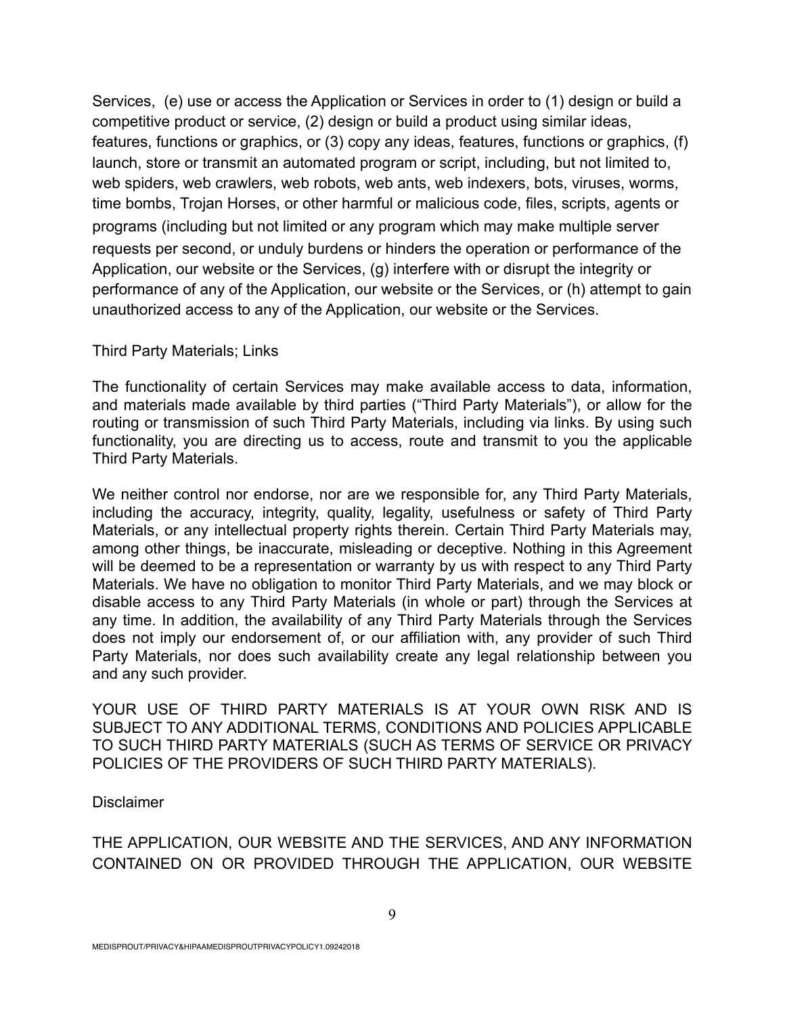Services, (e) use or access the Application or Services in order to (1) design or build a competitive product or service, (2) design or build a product using similar ideas, features, functions or graphics, or (3) copy any ideas, features, functions or graphics, (f) launch, store or transmit an automated program or script, including, but not limited to, web spiders, web crawlers, web robots, web ants, web indexers, bots, viruses, worms, time bombs, Trojan Horses, or other harmful or malicious code, files, scripts, agents or programs (including but not limited or any program which may make multiple server requests per second, or unduly burdens or hinders the operation or performance of the Application, our website or the Services, (g) interfere with or disrupt the integrity or performance of any of the Application, our website or the Services, or (h) attempt to gain unauthorized access to any of the Application, our website or the Services.

### Third Party Materials; Links

The functionality of certain Services may make available access to data, information, and materials made available by third parties ("Third Party Materials"), or allow for the routing or transmission of such Third Party Materials, including via links. By using such functionality, you are directing us to access, route and transmit to you the applicable Third Party Materials.

We neither control nor endorse, nor are we responsible for, any Third Party Materials, including the accuracy, integrity, quality, legality, usefulness or safety of Third Party Materials, or any intellectual property rights therein. Certain Third Party Materials may, among other things, be inaccurate, misleading or deceptive. Nothing in this Agreement will be deemed to be a representation or warranty by us with respect to any Third Party Materials. We have no obligation to monitor Third Party Materials, and we may block or disable access to any Third Party Materials (in whole or part) through the Services at any time. In addition, the availability of any Third Party Materials through the Services does not imply our endorsement of, or our affiliation with, any provider of such Third Party Materials, nor does such availability create any legal relationship between you and any such provider.

YOUR USE OF THIRD PARTY MATERIALS IS AT YOUR OWN RISK AND IS SUBJECT TO ANY ADDITIONAL TERMS, CONDITIONS AND POLICIES APPLICABLE TO SUCH THIRD PARTY MATERIALS (SUCH AS TERMS OF SERVICE OR PRIVACY POLICIES OF THE PROVIDERS OF SUCH THIRD PARTY MATERIALS).

**Disclaimer** 

THE APPLICATION, OUR WEBSITE AND THE SERVICES, AND ANY INFORMATION CONTAINED ON OR PROVIDED THROUGH THE APPLICATION, OUR WEBSITE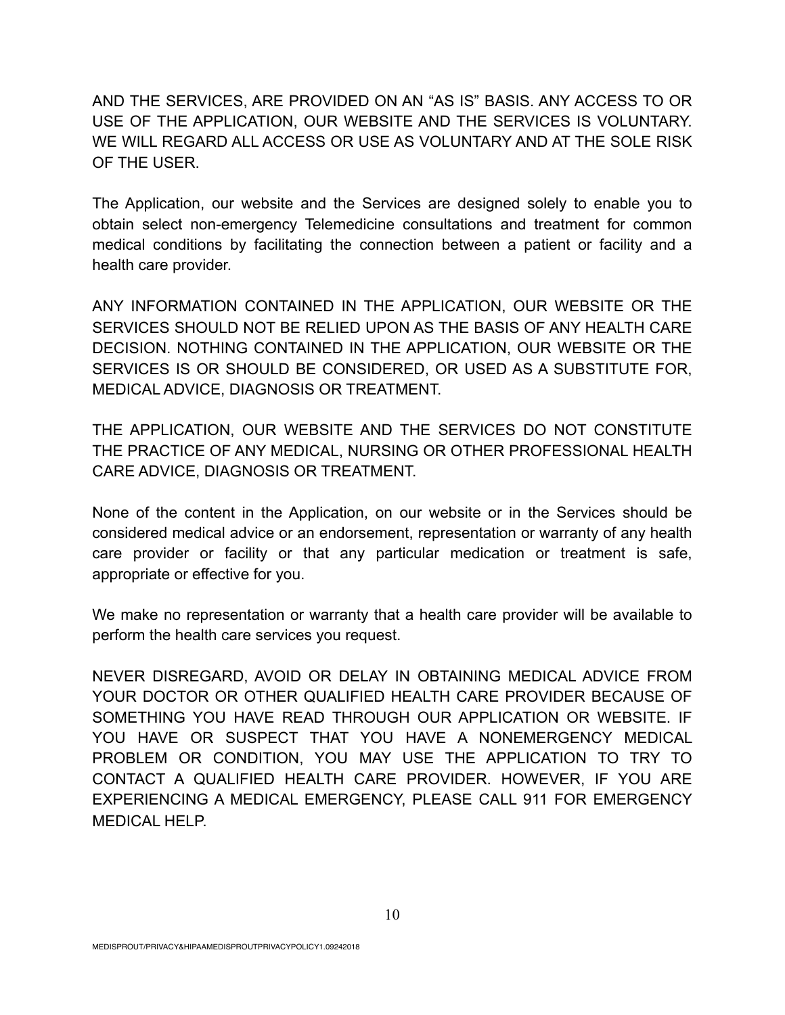AND THE SERVICES, ARE PROVIDED ON AN "AS IS" BASIS. ANY ACCESS TO OR USE OF THE APPLICATION, OUR WEBSITE AND THE SERVICES IS VOLUNTARY. WE WILL REGARD ALL ACCESS OR USE AS VOLUNTARY AND AT THE SOLE RISK OF THE USER.

The Application, our website and the Services are designed solely to enable you to obtain select non-emergency Telemedicine consultations and treatment for common medical conditions by facilitating the connection between a patient or facility and a health care provider.

ANY INFORMATION CONTAINED IN THE APPLICATION, OUR WEBSITE OR THE SERVICES SHOULD NOT BE RELIED UPON AS THE BASIS OF ANY HEALTH CARE DECISION. NOTHING CONTAINED IN THE APPLICATION, OUR WEBSITE OR THE SERVICES IS OR SHOULD BE CONSIDERED, OR USED AS A SUBSTITUTE FOR, MEDICAL ADVICE, DIAGNOSIS OR TREATMENT.

THE APPLICATION, OUR WEBSITE AND THE SERVICES DO NOT CONSTITUTE THE PRACTICE OF ANY MEDICAL, NURSING OR OTHER PROFESSIONAL HEALTH CARE ADVICE, DIAGNOSIS OR TREATMENT.

None of the content in the Application, on our website or in the Services should be considered medical advice or an endorsement, representation or warranty of any health care provider or facility or that any particular medication or treatment is safe, appropriate or effective for you.

We make no representation or warranty that a health care provider will be available to perform the health care services you request.

NEVER DISREGARD, AVOID OR DELAY IN OBTAINING MEDICAL ADVICE FROM YOUR DOCTOR OR OTHER QUALIFIED HEALTH CARE PROVIDER BECAUSE OF SOMETHING YOU HAVE READ THROUGH OUR APPLICATION OR WEBSITE. IF YOU HAVE OR SUSPECT THAT YOU HAVE A NONEMERGENCY MEDICAL PROBLEM OR CONDITION, YOU MAY USE THE APPLICATION TO TRY TO CONTACT A QUALIFIED HEALTH CARE PROVIDER. HOWEVER, IF YOU ARE EXPERIENCING A MEDICAL EMERGENCY, PLEASE CALL 911 FOR EMERGENCY MEDICAL HELP.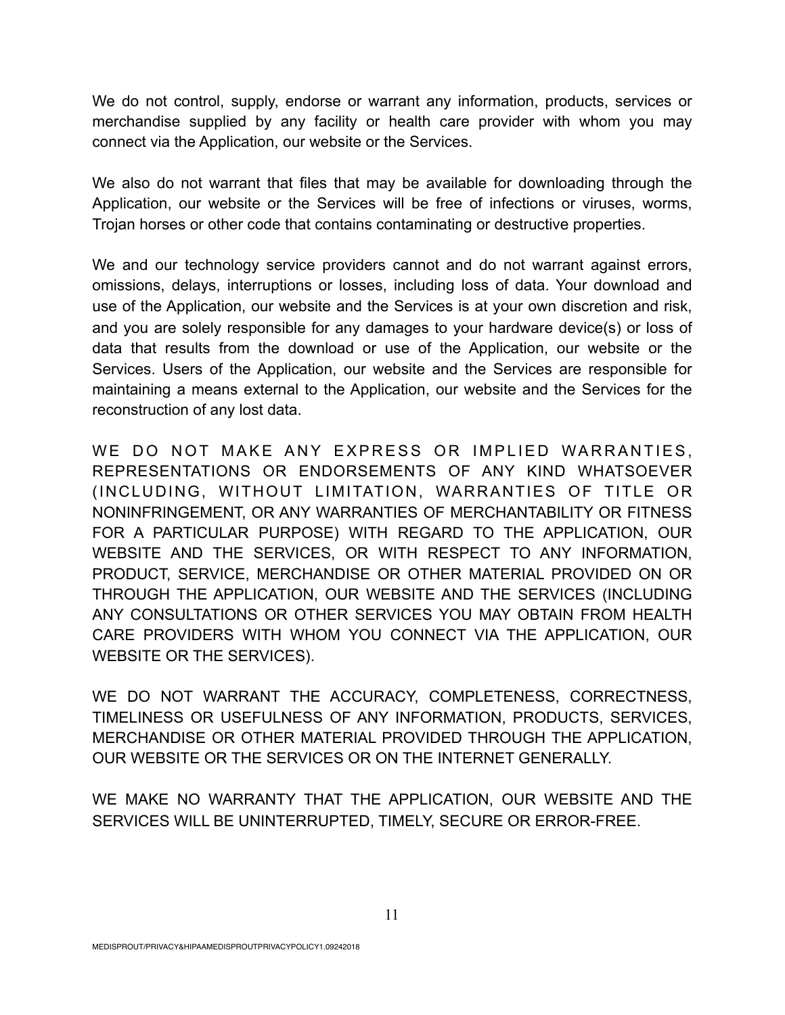We do not control, supply, endorse or warrant any information, products, services or merchandise supplied by any facility or health care provider with whom you may connect via the Application, our website or the Services.

We also do not warrant that files that may be available for downloading through the Application, our website or the Services will be free of infections or viruses, worms, Trojan horses or other code that contains contaminating or destructive properties.

We and our technology service providers cannot and do not warrant against errors, omissions, delays, interruptions or losses, including loss of data. Your download and use of the Application, our website and the Services is at your own discretion and risk, and you are solely responsible for any damages to your hardware device(s) or loss of data that results from the download or use of the Application, our website or the Services. Users of the Application, our website and the Services are responsible for maintaining a means external to the Application, our website and the Services for the reconstruction of any lost data.

WE DO NOT MAKE ANY EXPRESS OR IMPLIED WARRANTIES, REPRESENTATIONS OR ENDORSEMENTS OF ANY KIND WHATSOEVER (INCLUDING, WITHOUT LIMITATION, WARRANTIES OF TITLE OR NONINFRINGEMENT, OR ANY WARRANTIES OF MERCHANTABILITY OR FITNESS FOR A PARTICULAR PURPOSE) WITH REGARD TO THE APPLICATION, OUR WEBSITE AND THE SERVICES, OR WITH RESPECT TO ANY INFORMATION, PRODUCT, SERVICE, MERCHANDISE OR OTHER MATERIAL PROVIDED ON OR THROUGH THE APPLICATION, OUR WEBSITE AND THE SERVICES (INCLUDING ANY CONSULTATIONS OR OTHER SERVICES YOU MAY OBTAIN FROM HEALTH CARE PROVIDERS WITH WHOM YOU CONNECT VIA THE APPLICATION, OUR WEBSITE OR THE SERVICES).

WE DO NOT WARRANT THE ACCURACY, COMPLETENESS, CORRECTNESS, TIMELINESS OR USEFULNESS OF ANY INFORMATION, PRODUCTS, SERVICES, MERCHANDISE OR OTHER MATERIAL PROVIDED THROUGH THE APPLICATION, OUR WEBSITE OR THE SERVICES OR ON THE INTERNET GENERALLY.

WE MAKE NO WARRANTY THAT THE APPLICATION, OUR WEBSITE AND THE SERVICES WILL BE UNINTERRUPTED, TIMELY, SECURE OR ERROR-FREE.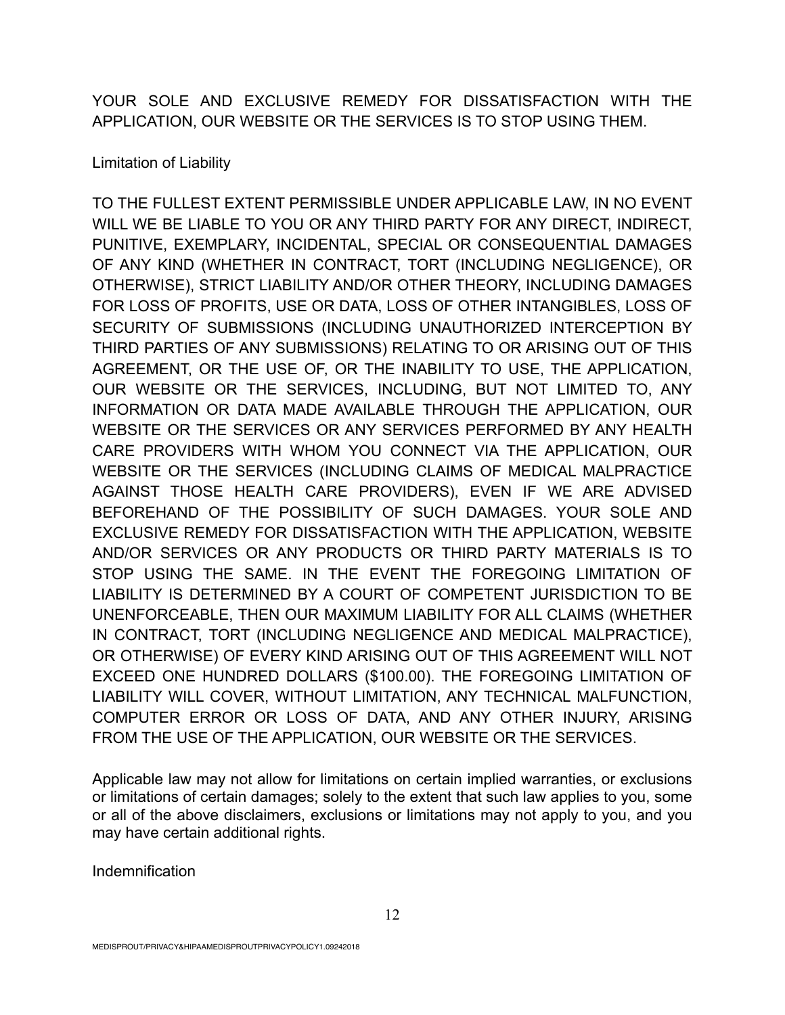YOUR SOLE AND EXCLUSIVE REMEDY FOR DISSATISFACTION WITH THE APPLICATION, OUR WEBSITE OR THE SERVICES IS TO STOP USING THEM.

# Limitation of Liability

TO THE FULLEST EXTENT PERMISSIBLE UNDER APPLICABLE LAW, IN NO EVENT WILL WE BE LIABLE TO YOU OR ANY THIRD PARTY FOR ANY DIRECT, INDIRECT, PUNITIVE, EXEMPLARY, INCIDENTAL, SPECIAL OR CONSEQUENTIAL DAMAGES OF ANY KIND (WHETHER IN CONTRACT, TORT (INCLUDING NEGLIGENCE), OR OTHERWISE), STRICT LIABILITY AND/OR OTHER THEORY, INCLUDING DAMAGES FOR LOSS OF PROFITS, USE OR DATA, LOSS OF OTHER INTANGIBLES, LOSS OF SECURITY OF SUBMISSIONS (INCLUDING UNAUTHORIZED INTERCEPTION BY THIRD PARTIES OF ANY SUBMISSIONS) RELATING TO OR ARISING OUT OF THIS AGREEMENT, OR THE USE OF, OR THE INABILITY TO USE, THE APPLICATION, OUR WEBSITE OR THE SERVICES, INCLUDING, BUT NOT LIMITED TO, ANY INFORMATION OR DATA MADE AVAILABLE THROUGH THE APPLICATION, OUR WEBSITE OR THE SERVICES OR ANY SERVICES PERFORMED BY ANY HEALTH CARE PROVIDERS WITH WHOM YOU CONNECT VIA THE APPLICATION, OUR WEBSITE OR THE SERVICES (INCLUDING CLAIMS OF MEDICAL MALPRACTICE AGAINST THOSE HEALTH CARE PROVIDERS), EVEN IF WE ARE ADVISED BEFOREHAND OF THE POSSIBILITY OF SUCH DAMAGES. YOUR SOLE AND EXCLUSIVE REMEDY FOR DISSATISFACTION WITH THE APPLICATION, WEBSITE AND/OR SERVICES OR ANY PRODUCTS OR THIRD PARTY MATERIALS IS TO STOP USING THE SAME. IN THE EVENT THE FOREGOING LIMITATION OF LIABILITY IS DETERMINED BY A COURT OF COMPETENT JURISDICTION TO BE UNENFORCEABLE, THEN OUR MAXIMUM LIABILITY FOR ALL CLAIMS (WHETHER IN CONTRACT, TORT (INCLUDING NEGLIGENCE AND MEDICAL MALPRACTICE), OR OTHERWISE) OF EVERY KIND ARISING OUT OF THIS AGREEMENT WILL NOT EXCEED ONE HUNDRED DOLLARS (\$100.00). THE FOREGOING LIMITATION OF LIABILITY WILL COVER, WITHOUT LIMITATION, ANY TECHNICAL MALFUNCTION, COMPUTER ERROR OR LOSS OF DATA, AND ANY OTHER INJURY, ARISING FROM THE USE OF THE APPLICATION, OUR WEBSITE OR THE SERVICES.

Applicable law may not allow for limitations on certain implied warranties, or exclusions or limitations of certain damages; solely to the extent that such law applies to you, some or all of the above disclaimers, exclusions or limitations may not apply to you, and you may have certain additional rights.

Indemnification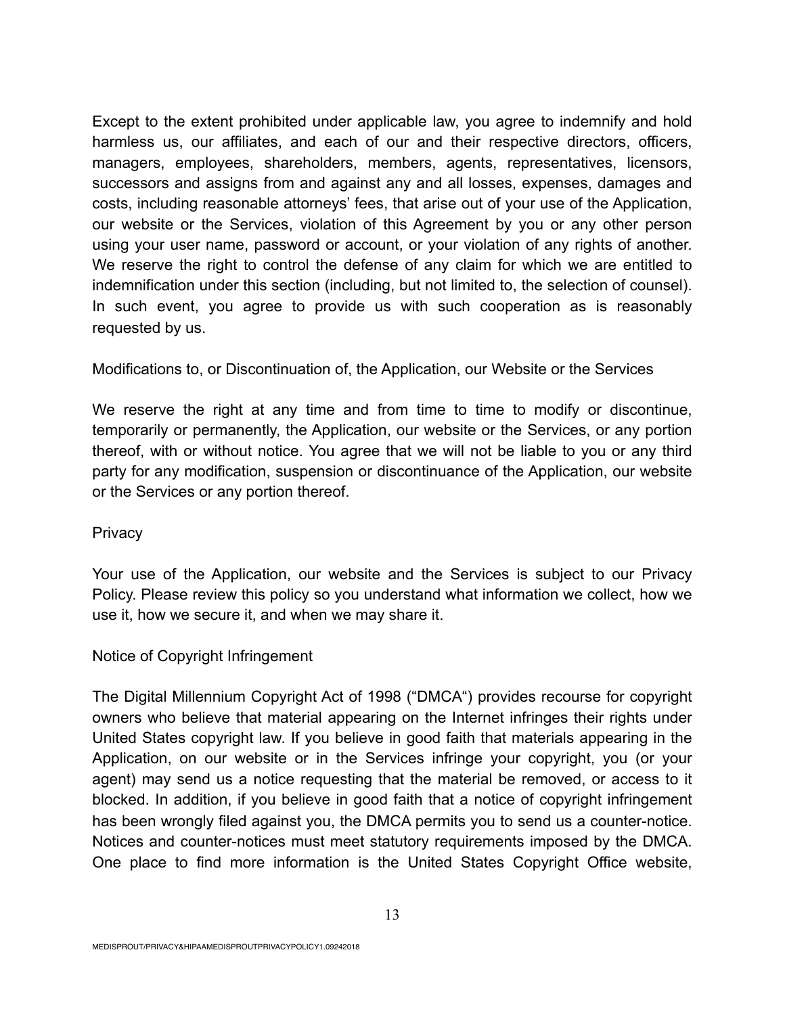Except to the extent prohibited under applicable law, you agree to indemnify and hold harmless us, our affiliates, and each of our and their respective directors, officers, managers, employees, shareholders, members, agents, representatives, licensors, successors and assigns from and against any and all losses, expenses, damages and costs, including reasonable attorneys' fees, that arise out of your use of the Application, our website or the Services, violation of this Agreement by you or any other person using your user name, password or account, or your violation of any rights of another. We reserve the right to control the defense of any claim for which we are entitled to indemnification under this section (including, but not limited to, the selection of counsel). In such event, you agree to provide us with such cooperation as is reasonably requested by us.

## Modifications to, or Discontinuation of, the Application, our Website or the Services

We reserve the right at any time and from time to time to modify or discontinue, temporarily or permanently, the Application, our website or the Services, or any portion thereof, with or without notice. You agree that we will not be liable to you or any third party for any modification, suspension or discontinuance of the Application, our website or the Services or any portion thereof.

### **Privacy**

Your use of the Application, our website and the Services is subject to our Privacy Policy. Please review this policy so you understand what information we collect, how we use it, how we secure it, and when we may share it.

### Notice of Copyright Infringement

The Digital Millennium Copyright Act of 1998 ("DMCA") provides recourse for copyright owners who believe that material appearing on the Internet infringes their rights under United States copyright law. If you believe in good faith that materials appearing in the Application, on our website or in the Services infringe your copyright, you (or your agent) may send us a notice requesting that the material be removed, or access to it blocked. In addition, if you believe in good faith that a notice of copyright infringement has been wrongly filed against you, the DMCA permits you to send us a counter-notice. Notices and counter-notices must meet statutory requirements imposed by the DMCA. One place to find more information is the United States Copyright Office website,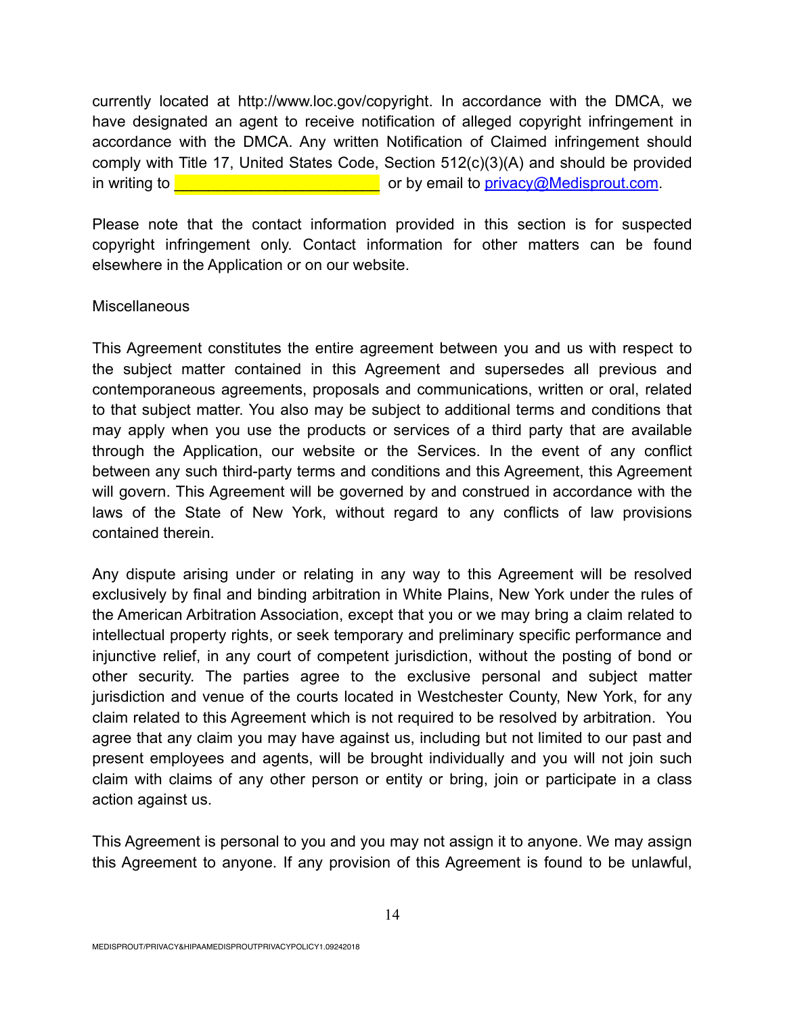currently located at http://www.loc.gov/copyright. In accordance with the DMCA, we have designated an agent to receive notification of alleged copyright infringement in accordance with the DMCA. Any written Notification of Claimed infringement should comply with Title 17, United States Code, Section 512(c)(3)(A) and should be provided in writing to  $\blacksquare$ 

Please note that the contact information provided in this section is for suspected copyright infringement only. Contact information for other matters can be found elsewhere in the Application or on our website.

## **Miscellaneous**

This Agreement constitutes the entire agreement between you and us with respect to the subject matter contained in this Agreement and supersedes all previous and contemporaneous agreements, proposals and communications, written or oral, related to that subject matter. You also may be subject to additional terms and conditions that may apply when you use the products or services of a third party that are available through the Application, our website or the Services. In the event of any conflict between any such third-party terms and conditions and this Agreement, this Agreement will govern. This Agreement will be governed by and construed in accordance with the laws of the State of New York, without regard to any conflicts of law provisions contained therein.

Any dispute arising under or relating in any way to this Agreement will be resolved exclusively by final and binding arbitration in White Plains, New York under the rules of the American Arbitration Association, except that you or we may bring a claim related to intellectual property rights, or seek temporary and preliminary specific performance and injunctive relief, in any court of competent jurisdiction, without the posting of bond or other security. The parties agree to the exclusive personal and subject matter jurisdiction and venue of the courts located in Westchester County, New York, for any claim related to this Agreement which is not required to be resolved by arbitration. You agree that any claim you may have against us, including but not limited to our past and present employees and agents, will be brought individually and you will not join such claim with claims of any other person or entity or bring, join or participate in a class action against us.

This Agreement is personal to you and you may not assign it to anyone. We may assign this Agreement to anyone. If any provision of this Agreement is found to be unlawful,